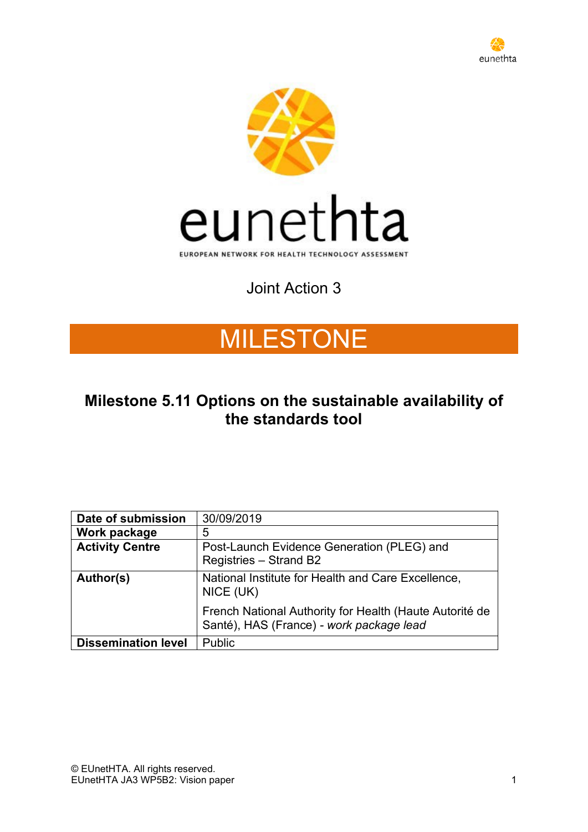



# Joint Action 3

# MILESTONE

# **Milestone 5.11 Options on the sustainable availability of the standards tool**

| Date of submission         | 30/09/2019                                                                                          |
|----------------------------|-----------------------------------------------------------------------------------------------------|
| Work package               | 5                                                                                                   |
| <b>Activity Centre</b>     | Post-Launch Evidence Generation (PLEG) and<br>Registries - Strand B2                                |
| Author(s)                  | National Institute for Health and Care Excellence,<br>NICE (UK)                                     |
|                            | French National Authority for Health (Haute Autorité de<br>Santé), HAS (France) - work package lead |
| <b>Dissemination level</b> | Public                                                                                              |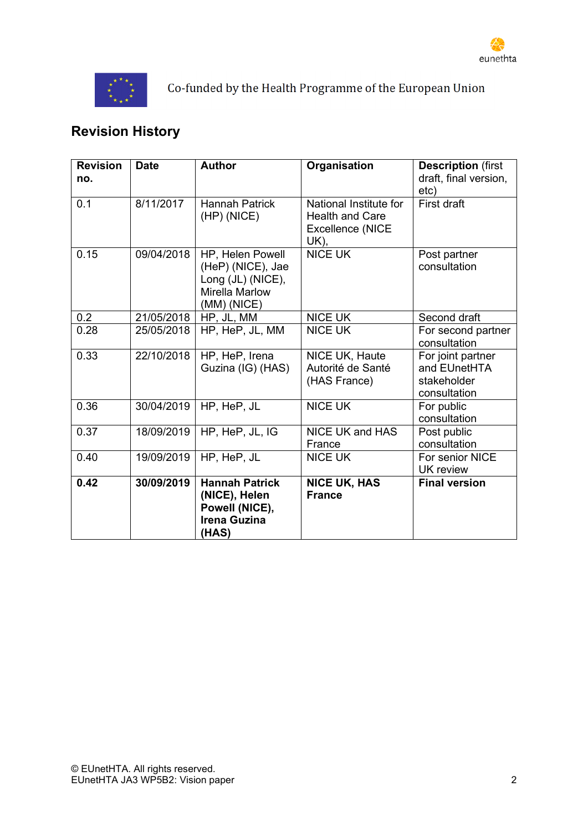



Co-funded by the Health Programme of the European Union

# **Revision History**

| <b>Revision</b><br>no. | <b>Date</b> | <b>Author</b>                                                                                        | Organisation                                                                        | <b>Description (first</b><br>draft, final version,<br>etc)       |
|------------------------|-------------|------------------------------------------------------------------------------------------------------|-------------------------------------------------------------------------------------|------------------------------------------------------------------|
| 0.1                    | 8/11/2017   | <b>Hannah Patrick</b><br>$(HP)$ (NICE)                                                               | National Institute for<br><b>Health and Care</b><br><b>Excellence (NICE</b><br>UK). | First draft                                                      |
| 0.15                   | 09/04/2018  | HP, Helen Powell<br>(HeP) (NICE), Jae<br>Long (JL) (NICE),<br><b>Mirella Marlow</b><br>$(MM)$ (NICE) | <b>NICE UK</b>                                                                      | Post partner<br>consultation                                     |
| 0.2                    | 21/05/2018  | HP, JL, MM                                                                                           | <b>NICE UK</b>                                                                      | Second draft                                                     |
| 0.28                   | 25/05/2018  | HP, HeP, JL, MM                                                                                      | <b>NICE UK</b>                                                                      | For second partner<br>consultation                               |
| 0.33                   | 22/10/2018  | HP, HeP, Irena<br>Guzina (IG) (HAS)                                                                  | NICE UK, Haute<br>Autorité de Santé<br>(HAS France)                                 | For joint partner<br>and EUnetHTA<br>stakeholder<br>consultation |
| 0.36                   | 30/04/2019  | HP, HeP, JL                                                                                          | <b>NICE UK</b>                                                                      | For public<br>consultation                                       |
| 0.37                   | 18/09/2019  | HP, HeP, JL, IG                                                                                      | <b>NICE UK and HAS</b><br>France                                                    | Post public<br>consultation                                      |
| 0.40                   | 19/09/2019  | HP, HeP, JL                                                                                          | <b>NICE UK</b>                                                                      | For senior NICE<br><b>UK</b> review                              |
| 0.42                   | 30/09/2019  | <b>Hannah Patrick</b><br>(NICE), Helen<br>Powell (NICE),<br><b>Irena Guzina</b><br>(HAS)             | <b>NICE UK, HAS</b><br><b>France</b>                                                | <b>Final version</b>                                             |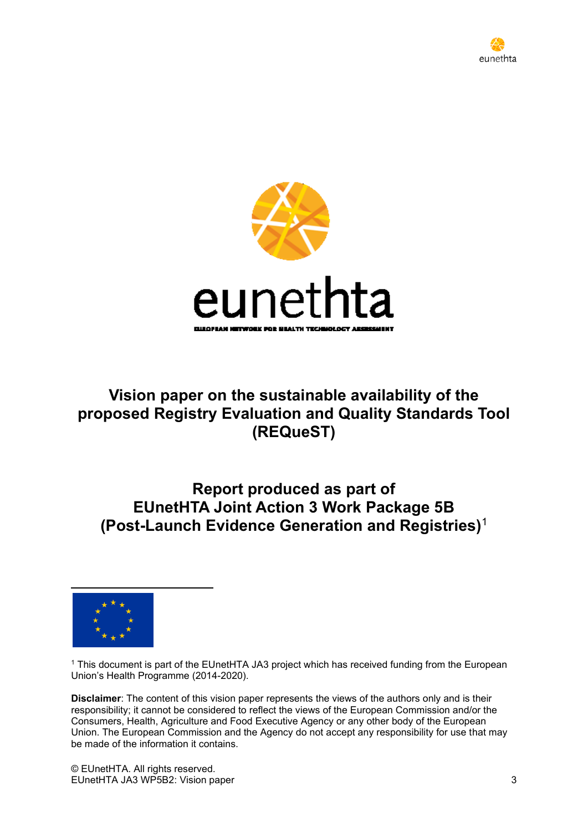



# **Vision paper on the sustainable availability of the proposed Registry Evaluation and Quality Standards Tool (REQueST)**

# **Report produced as part of EUnetHTA Joint Action 3 Work Package 5B (Post-Launch Evidence Generation and Registries)**<sup>1</sup>



<sup>1</sup> This document is part of the EUnetHTA JA3 project which has received funding from the European Union's Health Programme (2014-2020).

**Disclaimer**: The content of this vision paper represents the views of the authors only and is their responsibility; it cannot be considered to reflect the views of the European Commission and/or the Consumers, Health, Agriculture and Food Executive Agency or any other body of the European Union. The European Commission and the Agency do not accept any responsibility for use that may be made of the information it contains.

© EUnetHTA. All rights reserved. EUnetHTA JA3 WP5B2: Vision paper 3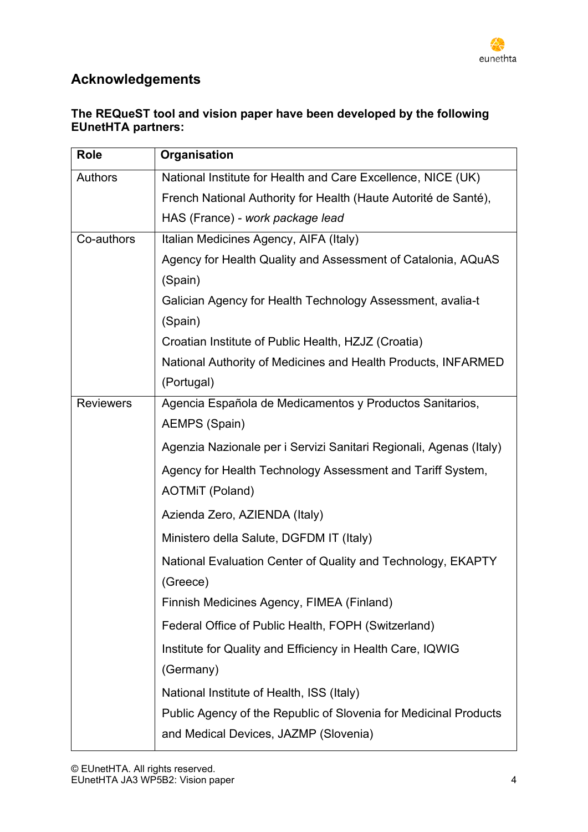

# **Acknowledgements**

### **The REQueST tool and vision paper have been developed by the following EUnetHTA partners:**

| Role             | Organisation                                                       |
|------------------|--------------------------------------------------------------------|
| <b>Authors</b>   | National Institute for Health and Care Excellence, NICE (UK)       |
|                  | French National Authority for Health (Haute Autorité de Santé),    |
|                  | HAS (France) - work package lead                                   |
| Co-authors       | Italian Medicines Agency, AIFA (Italy)                             |
|                  | Agency for Health Quality and Assessment of Catalonia, AQuAS       |
|                  | (Spain)                                                            |
|                  | Galician Agency for Health Technology Assessment, avalia-t         |
|                  | (Spain)                                                            |
|                  | Croatian Institute of Public Health, HZJZ (Croatia)                |
|                  | National Authority of Medicines and Health Products, INFARMED      |
|                  | (Portugal)                                                         |
| <b>Reviewers</b> | Agencia Española de Medicamentos y Productos Sanitarios,           |
|                  | <b>AEMPS (Spain)</b>                                               |
|                  | Agenzia Nazionale per i Servizi Sanitari Regionali, Agenas (Italy) |
|                  | Agency for Health Technology Assessment and Tariff System,         |
|                  | <b>AOTMIT (Poland)</b>                                             |
|                  | Azienda Zero, AZIENDA (Italy)                                      |
|                  | Ministero della Salute, DGFDM IT (Italy)                           |
|                  | National Evaluation Center of Quality and Technology, EKAPTY       |
|                  | (Greece)                                                           |
|                  | Finnish Medicines Agency, FIMEA (Finland)                          |
|                  | Federal Office of Public Health, FOPH (Switzerland)                |
|                  | Institute for Quality and Efficiency in Health Care, IQWIG         |
|                  | (Germany)                                                          |
|                  | National Institute of Health, ISS (Italy)                          |
|                  | Public Agency of the Republic of Slovenia for Medicinal Products   |
|                  | and Medical Devices, JAZMP (Slovenia)                              |
|                  |                                                                    |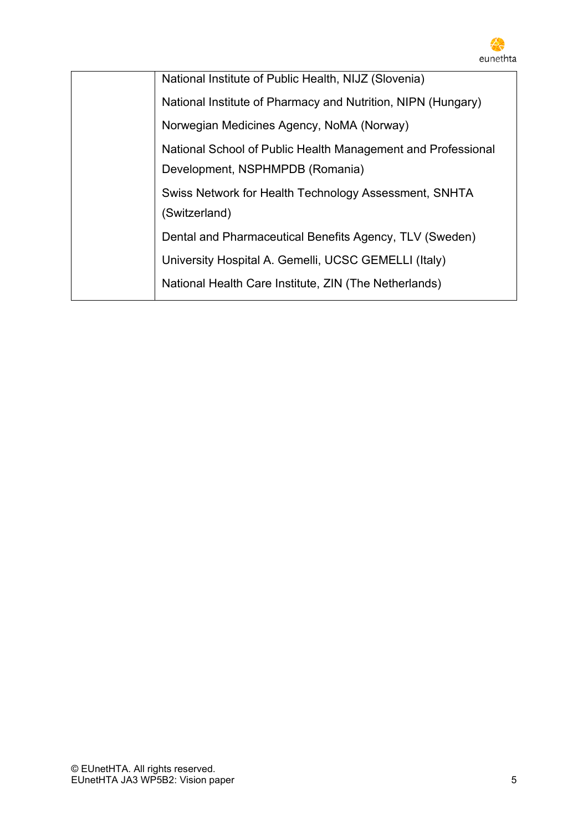

| National Institute of Public Health, NIJZ (Slovenia)         |
|--------------------------------------------------------------|
| National Institute of Pharmacy and Nutrition, NIPN (Hungary) |
| Norwegian Medicines Agency, NoMA (Norway)                    |
| National School of Public Health Management and Professional |
| Development, NSPHMPDB (Romania)                              |
| Swiss Network for Health Technology Assessment, SNHTA        |
| (Switzerland)                                                |
| Dental and Pharmaceutical Benefits Agency, TLV (Sweden)      |
| University Hospital A. Gemelli, UCSC GEMELLI (Italy)         |
| National Health Care Institute, ZIN (The Netherlands)        |
|                                                              |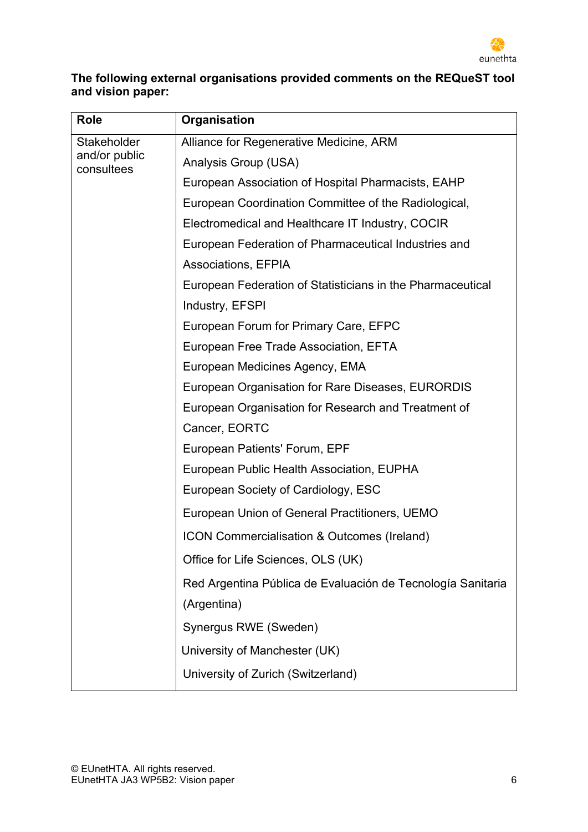

### **The following external organisations provided comments on the REQueST tool and vision paper:**

| <b>Role</b>                 | Organisation                                                |
|-----------------------------|-------------------------------------------------------------|
| Stakeholder                 | Alliance for Regenerative Medicine, ARM                     |
| and/or public<br>consultees | Analysis Group (USA)                                        |
|                             | European Association of Hospital Pharmacists, EAHP          |
|                             | European Coordination Committee of the Radiological,        |
|                             | Electromedical and Healthcare IT Industry, COCIR            |
|                             | European Federation of Pharmaceutical Industries and        |
|                             | <b>Associations, EFPIA</b>                                  |
|                             | European Federation of Statisticians in the Pharmaceutical  |
|                             | Industry, EFSPI                                             |
|                             | European Forum for Primary Care, EFPC                       |
|                             | European Free Trade Association, EFTA                       |
|                             | European Medicines Agency, EMA                              |
|                             | European Organisation for Rare Diseases, EURORDIS           |
|                             | European Organisation for Research and Treatment of         |
|                             | Cancer, EORTC                                               |
|                             | European Patients' Forum, EPF                               |
|                             | European Public Health Association, EUPHA                   |
|                             | European Society of Cardiology, ESC                         |
|                             | European Union of General Practitioners, UEMO               |
|                             | ICON Commercialisation & Outcomes (Ireland)                 |
|                             | Office for Life Sciences, OLS (UK)                          |
|                             | Red Argentina Pública de Evaluación de Tecnología Sanitaria |
|                             | (Argentina)                                                 |
|                             | Synergus RWE (Sweden)                                       |
|                             | University of Manchester (UK)                               |
|                             | University of Zurich (Switzerland)                          |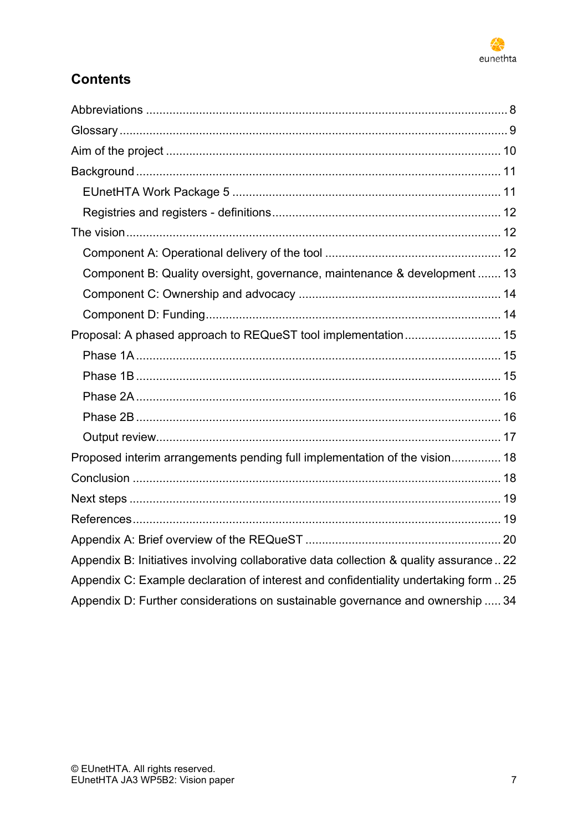

# **Contents**

| Component B: Quality oversight, governance, maintenance & development  13               |  |
|-----------------------------------------------------------------------------------------|--|
|                                                                                         |  |
|                                                                                         |  |
| Proposal: A phased approach to REQueST tool implementation 15                           |  |
|                                                                                         |  |
|                                                                                         |  |
|                                                                                         |  |
|                                                                                         |  |
|                                                                                         |  |
| Proposed interim arrangements pending full implementation of the vision 18              |  |
|                                                                                         |  |
|                                                                                         |  |
|                                                                                         |  |
|                                                                                         |  |
| Appendix B: Initiatives involving collaborative data collection & quality assurance  22 |  |
| Appendix C: Example declaration of interest and confidentiality undertaking form  25    |  |
| Appendix D: Further considerations on sustainable governance and ownership  34          |  |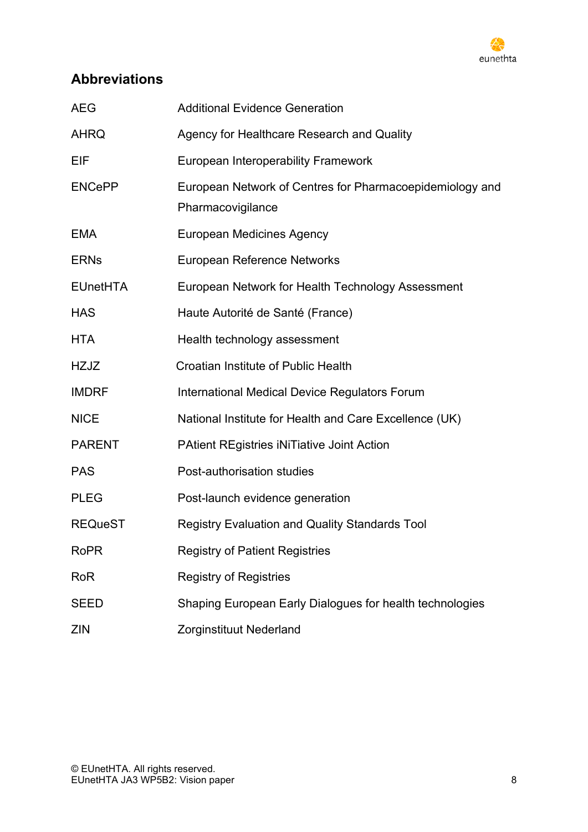

# <span id="page-7-0"></span>**Abbreviations**

| <b>AEG</b>      | <b>Additional Evidence Generation</b>                                         |
|-----------------|-------------------------------------------------------------------------------|
| <b>AHRQ</b>     | Agency for Healthcare Research and Quality                                    |
| EIF             | European Interoperability Framework                                           |
| <b>ENCePP</b>   | European Network of Centres for Pharmacoepidemiology and<br>Pharmacovigilance |
| <b>EMA</b>      | <b>European Medicines Agency</b>                                              |
| <b>ERNs</b>     | <b>European Reference Networks</b>                                            |
| <b>EUnetHTA</b> | European Network for Health Technology Assessment                             |
| <b>HAS</b>      | Haute Autorité de Santé (France)                                              |
| <b>HTA</b>      | Health technology assessment                                                  |
| HZJZ            | Croatian Institute of Public Health                                           |
| <b>IMDRF</b>    | International Medical Device Regulators Forum                                 |
| <b>NICE</b>     | National Institute for Health and Care Excellence (UK)                        |
| <b>PARENT</b>   | <b>PAtient REgistries iNiTiative Joint Action</b>                             |
| <b>PAS</b>      | Post-authorisation studies                                                    |
| <b>PLEG</b>     | Post-launch evidence generation                                               |
| <b>REQueST</b>  | <b>Registry Evaluation and Quality Standards Tool</b>                         |
| <b>RoPR</b>     | <b>Registry of Patient Registries</b>                                         |
| <b>RoR</b>      | <b>Registry of Registries</b>                                                 |
| <b>SEED</b>     | Shaping European Early Dialogues for health technologies                      |
| <b>ZIN</b>      | Zorginstituut Nederland                                                       |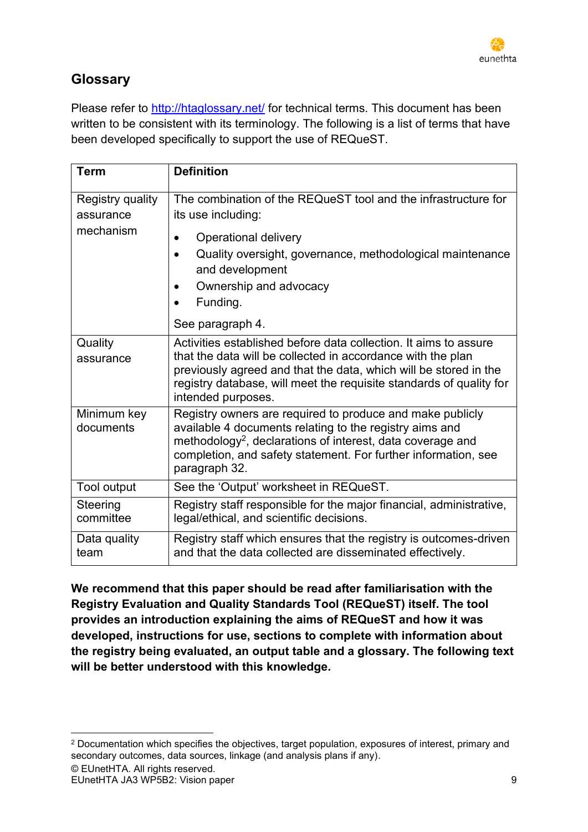# <span id="page-8-0"></span>**Glossary**

Please refer to<http://htaglossary.net/> for technical terms. This document has been written to be consistent with its terminology. The following is a list of terms that have been developed specifically to support the use of REQueST.

| <b>Term</b>                                | <b>Definition</b>                                                                                                                                                                                                                                                                                |
|--------------------------------------------|--------------------------------------------------------------------------------------------------------------------------------------------------------------------------------------------------------------------------------------------------------------------------------------------------|
| Registry quality<br>assurance<br>mechanism | The combination of the REQueST tool and the infrastructure for<br>its use including:<br><b>Operational delivery</b><br>Quality oversight, governance, methodological maintenance<br>and development<br>Ownership and advocacy<br>Funding.<br>See paragraph 4.                                    |
| Quality<br>assurance                       | Activities established before data collection. It aims to assure<br>that the data will be collected in accordance with the plan<br>previously agreed and that the data, which will be stored in the<br>registry database, will meet the requisite standards of quality for<br>intended purposes. |
| Minimum key<br>documents                   | Registry owners are required to produce and make publicly<br>available 4 documents relating to the registry aims and<br>methodology <sup>2</sup> , declarations of interest, data coverage and<br>completion, and safety statement. For further information, see<br>paragraph 32.                |
| Tool output                                | See the 'Output' worksheet in REQueST.                                                                                                                                                                                                                                                           |
| Steering<br>committee                      | Registry staff responsible for the major financial, administrative,<br>legal/ethical, and scientific decisions.                                                                                                                                                                                  |
| Data quality<br>team                       | Registry staff which ensures that the registry is outcomes-driven<br>and that the data collected are disseminated effectively.                                                                                                                                                                   |

**We recommend that this paper should be read after familiarisation with the Registry Evaluation and Quality Standards Tool (REQueST) itself. The tool provides an introduction explaining the aims of REQueST and how it was developed, instructions for use, sections to complete with information about the registry being evaluated, an output table and a glossary. The following text will be better understood with this knowledge.**

<sup>2</sup> Documentation which specifies the objectives, target population, exposures of interest, primary and secondary outcomes, data sources, linkage (and analysis plans if any).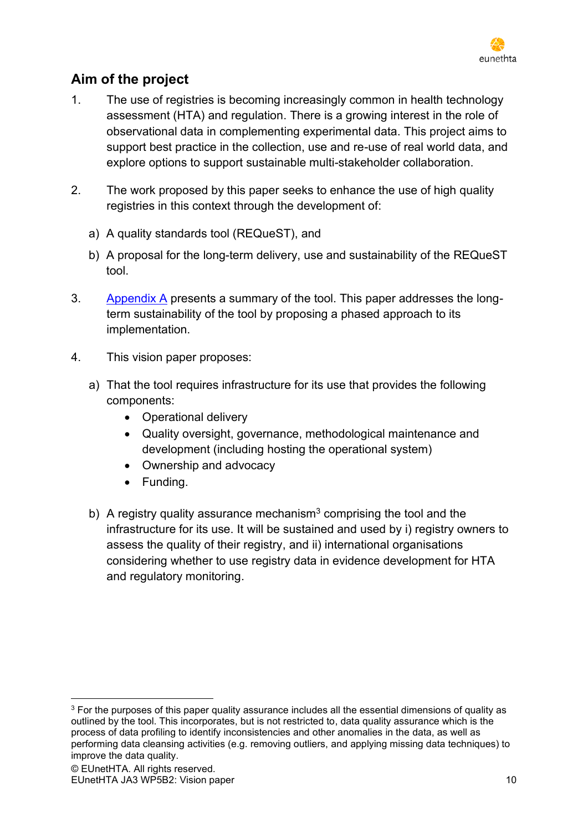

# <span id="page-9-0"></span>**Aim of the project**

- 1. The use of registries is becoming increasingly common in health technology assessment (HTA) and regulation. There is a growing interest in the role of observational data in complementing experimental data. This project aims to support best practice in the collection, use and re-use of real world data, and explore options to support sustainable multi-stakeholder collaboration.
- 2. The work proposed by this paper seeks to enhance the use of high quality registries in this context through the development of:
	- a) A quality standards tool (REQueST), and
	- b) A proposal for the long-term delivery, use and sustainability of the REQueST tool.
- 3. [Appendix A](#page-19-1) presents a summary of the tool. This paper addresses the longterm sustainability of the tool by proposing a phased approach to its implementation.
- 4. This vision paper proposes:
	- a) That the tool requires infrastructure for its use that provides the following components:
		- Operational delivery
		- Quality oversight, governance, methodological maintenance and development (including hosting the operational system)
		- Ownership and advocacy
		- Funding.
	- b) A registry quality assurance mechanism<sup>3</sup> comprising the tool and the infrastructure for its use. It will be sustained and used by i) registry owners to assess the quality of their registry, and ii) international organisations considering whether to use registry data in evidence development for HTA and regulatory monitoring.

<sup>&</sup>lt;sup>3</sup> For the purposes of this paper quality assurance includes all the essential dimensions of quality as outlined by the tool. This incorporates, but is not restricted to, data quality assurance which is the process of data profiling to identify inconsistencies and other anomalies in the data, as well as performing data cleansing activities (e.g. removing outliers, and applying missing data techniques) to improve the data quality.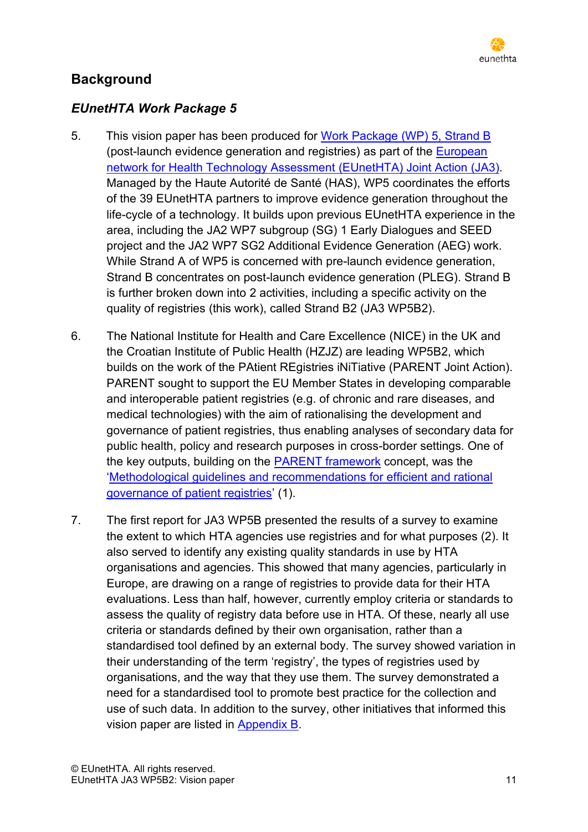

# <span id="page-10-0"></span>**Background**

# <span id="page-10-1"></span>*EUnetHTA Work Package 5*

- 5. This vision paper has been produced for [Work Package \(WP\) 5, Strand B](https://www.eunethta.eu/ja3-archive/work-package-5-life-cycle-approach-to-improve-evidence-generation/) (post-launch evidence generation and registries) as part of the [European](http://www.eunethta.eu/activities/joint-action-3/jointaction31/eunethta-joint-action-3-2016-2020)  [network for Health Technology Assessment](http://www.eunethta.eu/activities/joint-action-3/jointaction31/eunethta-joint-action-3-2016-2020) (EUnetHTA) Joint Action (JA3). Managed by the Haute Autorité de Santé (HAS), WP5 coordinates the efforts of the 39 EUnetHTA partners to improve evidence generation throughout the life-cycle of a technology. It builds upon previous EUnetHTA experience in the area, including the JA2 WP7 subgroup (SG) 1 Early Dialogues and SEED project and the JA2 WP7 SG2 Additional Evidence Generation (AEG) work. While Strand A of WP5 is concerned with pre-launch evidence generation, Strand B concentrates on post-launch evidence generation (PLEG). Strand B is further broken down into 2 activities, including a specific activity on the quality of registries (this work), called Strand B2 (JA3 WP5B2).
- 6. The National Institute for Health and Care Excellence (NICE) in the UK and the Croatian Institute of Public Health (HZJZ) are leading WP5B2, which builds on the work of the PAtient REgistries iNiTiative (PARENT Joint Action). PARENT sought to support the EU Member States in developing comparable and interoperable patient registries (e.g. of chronic and rare diseases, and medical technologies) with the aim of rationalising the development and governance of patient registries, thus enabling analyses of secondary data for public health, policy and research purposes in cross-border settings. One of the key outputs, building on the [PARENT framework](http://parent-ror.eu/) concept, was the '[Methodological guidelines and recommendations for efficient and rational](http://parent-wiki.nijz.si/)  [governance of patient registries](http://parent-wiki.nijz.si/)' (1).
- 7. The first report for JA3 WP5B presented the results of a survey to examine the extent to which HTA agencies use registries and for what purposes (2). It also served to identify any existing quality standards in use by HTA organisations and agencies. This showed that many agencies, particularly in Europe, are drawing on a range of registries to provide data for their HTA evaluations. Less than half, however, currently employ criteria or standards to assess the quality of registry data before use in HTA. Of these, nearly all use criteria or standards defined by their own organisation, rather than a standardised tool defined by an external body. The survey showed variation in their understanding of the term 'registry', the types of registries used by organisations, and the way that they use them. The survey demonstrated a need for a standardised tool to promote best practice for the collection and use of such data. In addition to the survey, other initiatives that informed this vision paper are listed in [Appendix B.](#page-21-0)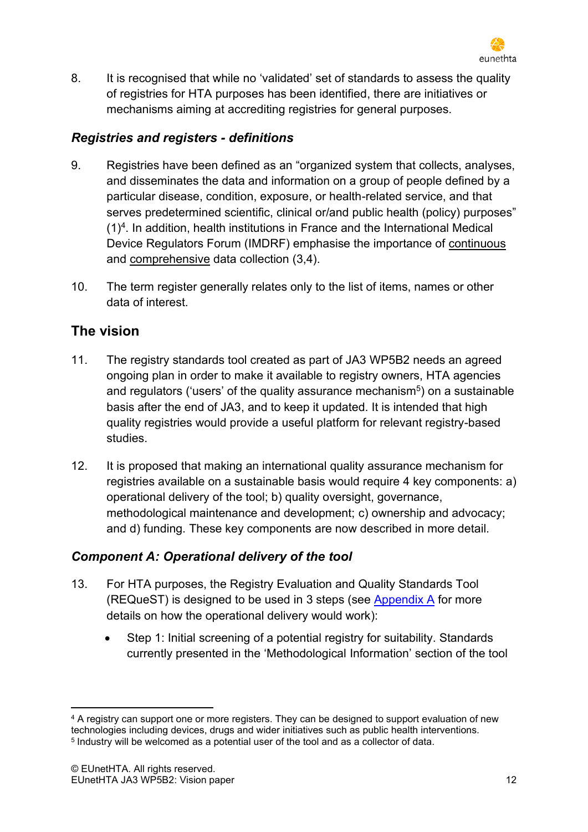

8. It is recognised that while no 'validated' set of standards to assess the quality of registries for HTA purposes has been identified, there are initiatives or mechanisms aiming at accrediting registries for general purposes.

### <span id="page-11-0"></span>*Registries and registers - definitions*

- 9. Registries have been defined as an "organized system that collects, analyses, and disseminates the data and information on a group of people defined by a particular disease, condition, exposure, or health-related service, and that serves predetermined scientific, clinical or/and public health (policy) purposes"  $(1)^4$ . In addition, health institutions in France and the International Medical Device Regulators Forum (IMDRF) emphasise the importance of continuous and comprehensive data collection (3,4).
- 10. The term register generally relates only to the list of items, names or other data of interest.

# <span id="page-11-1"></span>**The vision**

- 11. The registry standards tool created as part of JA3 WP5B2 needs an agreed ongoing plan in order to make it available to registry owners, HTA agencies and regulators ('users' of the quality assurance mechanism<sup>5</sup>) on a sustainable basis after the end of JA3, and to keep it updated. It is intended that high quality registries would provide a useful platform for relevant registry-based studies.
- 12. It is proposed that making an international quality assurance mechanism for registries available on a sustainable basis would require 4 key components: a) operational delivery of the tool; b) quality oversight, governance, methodological maintenance and development; c) ownership and advocacy; and d) funding. These key components are now described in more detail.

### <span id="page-11-2"></span>*Component A: Operational delivery of the tool*

- 13. For HTA purposes, the Registry Evaluation and Quality Standards Tool (REQueST) is designed to be used in 3 steps (see [Appendix A](#page-19-1) for more details on how the operational delivery would work):
	- Step 1: Initial screening of a potential registry for suitability. Standards currently presented in the 'Methodological Information' section of the tool

<sup>&</sup>lt;sup>4</sup> A registry can support one or more registers. They can be designed to support evaluation of new technologies including devices, drugs and wider initiatives such as public health interventions. 5 Industry will be welcomed as a potential user of the tool and as a collector of data.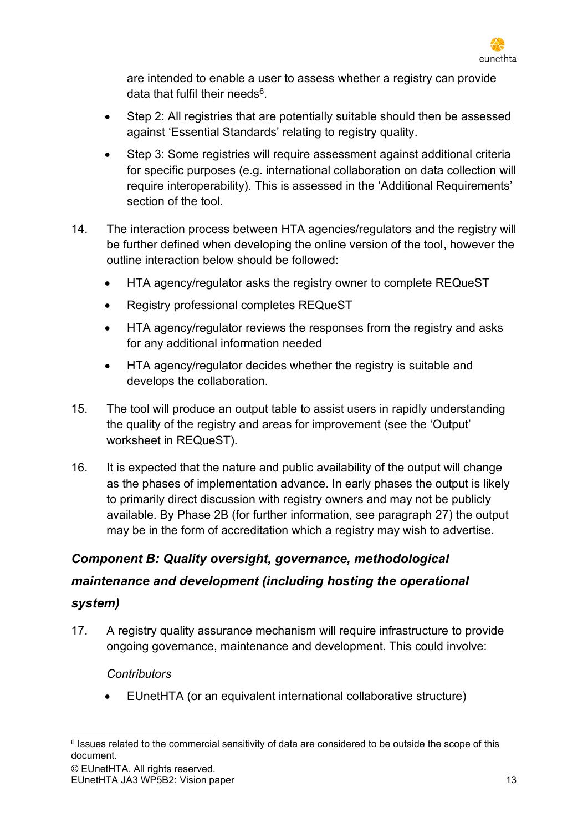

are intended to enable a user to assess whether a registry can provide data that fulfil their needs<sup>6</sup>.

- Step 2: All registries that are potentially suitable should then be assessed against 'Essential Standards' relating to registry quality.
- Step 3: Some registries will require assessment against additional criteria for specific purposes (e.g. international collaboration on data collection will require interoperability). This is assessed in the 'Additional Requirements' section of the tool.
- 14. The interaction process between HTA agencies/regulators and the registry will be further defined when developing the online version of the tool, however the outline interaction below should be followed:
	- HTA agency/regulator asks the registry owner to complete REQueST
	- Registry professional completes REQueST
	- HTA agency/regulator reviews the responses from the registry and asks for any additional information needed
	- HTA agency/regulator decides whether the registry is suitable and develops the collaboration.
- 15. The tool will produce an output table to assist users in rapidly understanding the quality of the registry and areas for improvement (see the 'Output' worksheet in REQueST).
- 16. It is expected that the nature and public availability of the output will change as the phases of implementation advance. In early phases the output is likely to primarily direct discussion with registry owners and may not be publicly available. By Phase 2B (for further information, see paragraph [27\)](#page-15-2) the output may be in the form of accreditation which a registry may wish to advertise.

# <span id="page-12-0"></span>*Component B: Quality oversight, governance, methodological maintenance and development (including hosting the operational*

### *system)*

17. A registry quality assurance mechanism will require infrastructure to provide ongoing governance, maintenance and development. This could involve:

### *Contributors*

• EUnetHTA (or an equivalent international collaborative structure)

<sup>&</sup>lt;sup>6</sup> Issues related to the commercial sensitivity of data are considered to be outside the scope of this document.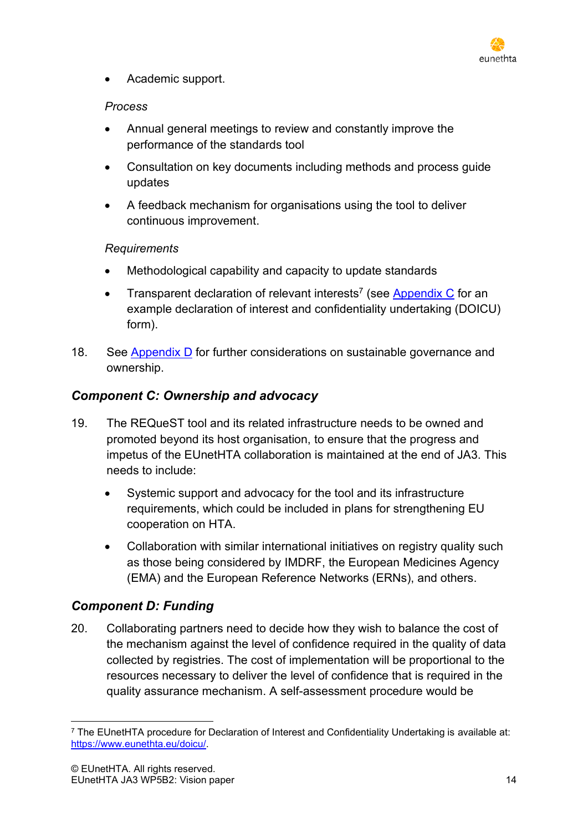

• Academic support.

### *Process*

- Annual general meetings to review and constantly improve the performance of the standards tool
- Consultation on key documents including methods and process guide updates
- A feedback mechanism for organisations using the tool to deliver continuous improvement.

### *Requirements*

- Methodological capability and capacity to update standards
- Transparent declaration of relevant interests<sup>7</sup> (see [Appendix C](#page-24-0) for an example declaration of interest and confidentiality undertaking (DOICU) form).
- 18. See [Appendix D](#page-33-0) for further considerations on sustainable governance and ownership.

### <span id="page-13-0"></span>*Component C: Ownership and advocacy*

- 19. The REQueST tool and its related infrastructure needs to be owned and promoted beyond its host organisation, to ensure that the progress and impetus of the EUnetHTA collaboration is maintained at the end of JA3. This needs to include:
	- Systemic support and advocacy for the tool and its infrastructure requirements, which could be included in plans for strengthening EU cooperation on HTA.
	- Collaboration with similar international initiatives on registry quality such as those being considered by IMDRF, the European Medicines Agency (EMA) and the European Reference Networks (ERNs), and others.

### <span id="page-13-1"></span>*Component D: Funding*

20. Collaborating partners need to decide how they wish to balance the cost of the mechanism against the level of confidence required in the quality of data collected by registries. The cost of implementation will be proportional to the resources necessary to deliver the level of confidence that is required in the quality assurance mechanism. A self-assessment procedure would be

<sup>7</sup> The EUnetHTA procedure for Declaration of Interest and Confidentiality Undertaking is available at: [https://www.eunethta.eu/doicu/.](https://www.eunethta.eu/doicu/)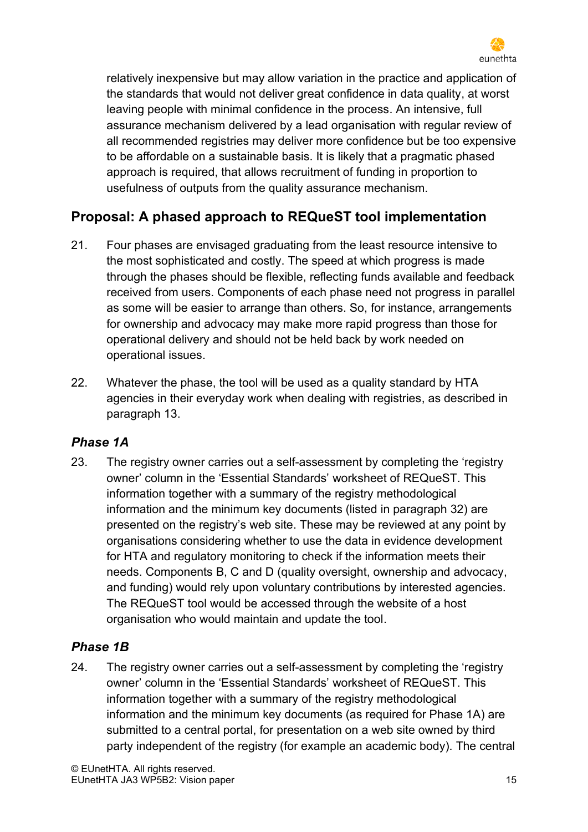

relatively inexpensive but may allow variation in the practice and application of the standards that would not deliver great confidence in data quality, at worst leaving people with minimal confidence in the process. An intensive, full assurance mechanism delivered by a lead organisation with regular review of all recommended registries may deliver more confidence but be too expensive to be affordable on a sustainable basis. It is likely that a pragmatic phased approach is required, that allows recruitment of funding in proportion to usefulness of outputs from the quality assurance mechanism.

# <span id="page-14-0"></span>**Proposal: A phased approach to REQueST tool implementation**

- 21. Four phases are envisaged graduating from the least resource intensive to the most sophisticated and costly. The speed at which progress is made through the phases should be flexible, reflecting funds available and feedback received from users. Components of each phase need not progress in parallel as some will be easier to arrange than others. So, for instance, arrangements for ownership and advocacy may make more rapid progress than those for operational delivery and should not be held back by work needed on operational issues.
- 22. Whatever the phase, the tool will be used as a quality standard by HTA agencies in their everyday work when dealing with registries, as described in paragraph 13.

### <span id="page-14-1"></span>*Phase 1A*

23. The registry owner carries out a self-assessment by completing the 'registry owner' column in the 'Essential Standards' worksheet of REQueST. This information together with a summary of the registry methodological information and the minimum key documents (listed in paragraph 32) are presented on the registry's web site. These may be reviewed at any point by organisations considering whether to use the data in evidence development for HTA and regulatory monitoring to check if the information meets their needs. Components B, C and D (quality oversight, ownership and advocacy, and funding) would rely upon voluntary contributions by interested agencies. The REQueST tool would be accessed through the website of a host organisation who would maintain and update the tool.

# <span id="page-14-2"></span>*Phase 1B*

24. The registry owner carries out a self-assessment by completing the 'registry owner' column in the 'Essential Standards' worksheet of REQueST. This information together with a summary of the registry methodological information and the minimum key documents (as required for Phase 1A) are submitted to a central portal, for presentation on a web site owned by third party independent of the registry (for example an academic body). The central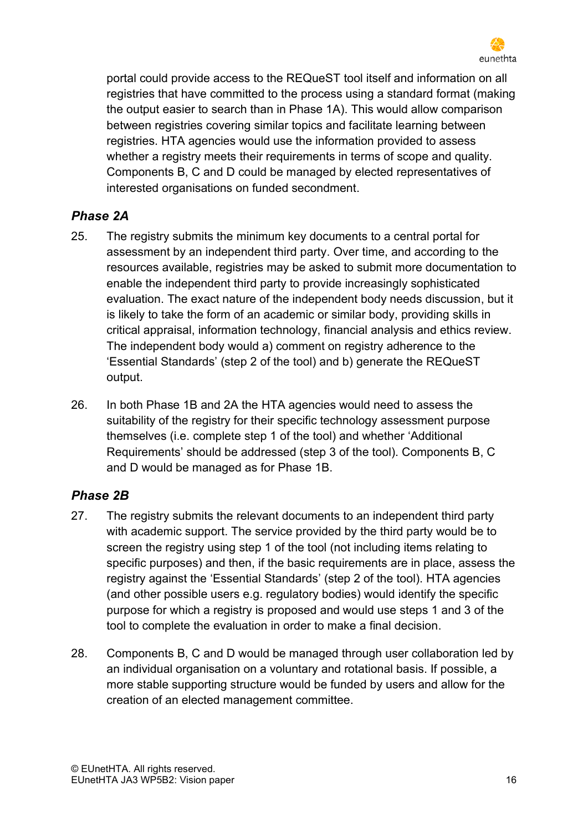

portal could provide access to the REQueST tool itself and information on all registries that have committed to the process using a standard format (making the output easier to search than in Phase 1A). This would allow comparison between registries covering similar topics and facilitate learning between registries. HTA agencies would use the information provided to assess whether a registry meets their requirements in terms of scope and quality. Components B, C and D could be managed by elected representatives of interested organisations on funded secondment.

# <span id="page-15-0"></span>*Phase 2A*

- 25. The registry submits the minimum key documents to a central portal for assessment by an independent third party. Over time, and according to the resources available, registries may be asked to submit more documentation to enable the independent third party to provide increasingly sophisticated evaluation. The exact nature of the independent body needs discussion, but it is likely to take the form of an academic or similar body, providing skills in critical appraisal, information technology, financial analysis and ethics review. The independent body would a) comment on registry adherence to the 'Essential Standards' (step 2 of the tool) and b) generate the REQueST output.
- 26. In both Phase 1B and 2A the HTA agencies would need to assess the suitability of the registry for their specific technology assessment purpose themselves (i.e. complete step 1 of the tool) and whether 'Additional Requirements' should be addressed (step 3 of the tool). Components B, C and D would be managed as for Phase 1B.

# <span id="page-15-1"></span>*Phase 2B*

- <span id="page-15-2"></span>27. The registry submits the relevant documents to an independent third party with academic support. The service provided by the third party would be to screen the registry using step 1 of the tool (not including items relating to specific purposes) and then, if the basic requirements are in place, assess the registry against the 'Essential Standards' (step 2 of the tool). HTA agencies (and other possible users e.g. regulatory bodies) would identify the specific purpose for which a registry is proposed and would use steps 1 and 3 of the tool to complete the evaluation in order to make a final decision.
- 28. Components B, C and D would be managed through user collaboration led by an individual organisation on a voluntary and rotational basis. If possible, a more stable supporting structure would be funded by users and allow for the creation of an elected management committee.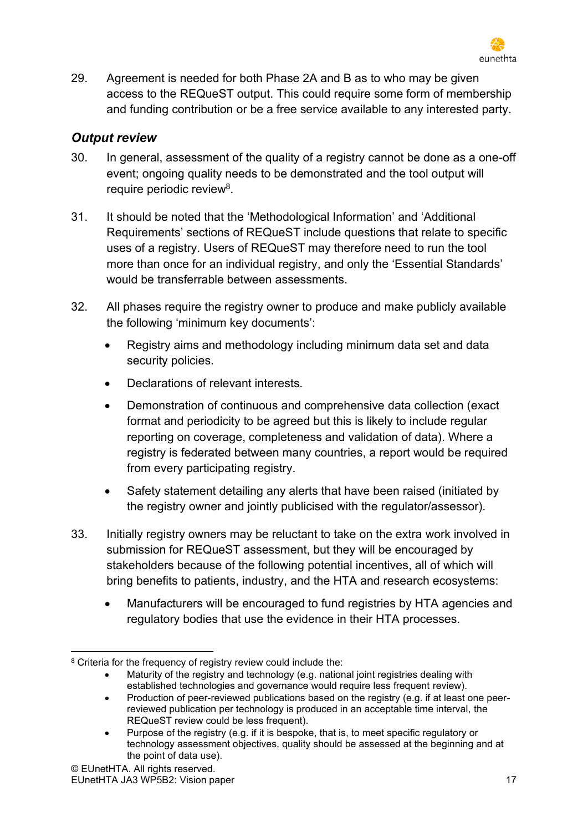

29. Agreement is needed for both Phase 2A and B as to who may be given access to the REQueST output. This could require some form of membership and funding contribution or be a free service available to any interested party.

### <span id="page-16-0"></span>*Output review*

- 30. In general, assessment of the quality of a registry cannot be done as a one-off event; ongoing quality needs to be demonstrated and the tool output will require periodic review<sup>8</sup>.
- 31. It should be noted that the 'Methodological Information' and 'Additional Requirements' sections of REQueST include questions that relate to specific uses of a registry. Users of REQueST may therefore need to run the tool more than once for an individual registry, and only the 'Essential Standards' would be transferrable between assessments.
- 32. All phases require the registry owner to produce and make publicly available the following 'minimum key documents':
	- Registry aims and methodology including minimum data set and data security policies.
	- Declarations of relevant interests.
	- Demonstration of continuous and comprehensive data collection (exact format and periodicity to be agreed but this is likely to include regular reporting on coverage, completeness and validation of data). Where a registry is federated between many countries, a report would be required from every participating registry.
	- Safety statement detailing any alerts that have been raised (initiated by the registry owner and jointly publicised with the regulator/assessor).
- 33. Initially registry owners may be reluctant to take on the extra work involved in submission for REQueST assessment, but they will be encouraged by stakeholders because of the following potential incentives, all of which will bring benefits to patients, industry, and the HTA and research ecosystems:
	- Manufacturers will be encouraged to fund registries by HTA agencies and regulatory bodies that use the evidence in their HTA processes.

• Maturity of the registry and technology (e.g. national joint registries dealing with established technologies and governance would require less frequent review).

<sup>8</sup> Criteria for the frequency of registry review could include the:

<sup>•</sup> Production of peer-reviewed publications based on the registry (e.g. if at least one peerreviewed publication per technology is produced in an acceptable time interval, the REQueST review could be less frequent).

<sup>•</sup> Purpose of the registry (e.g. if it is bespoke, that is, to meet specific regulatory or technology assessment objectives, quality should be assessed at the beginning and at the point of data use).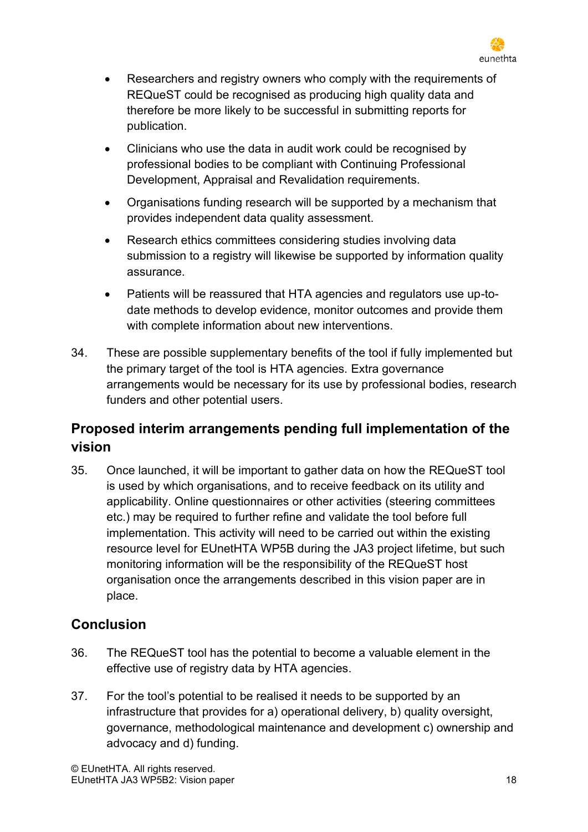

- Researchers and registry owners who comply with the requirements of REQueST could be recognised as producing high quality data and therefore be more likely to be successful in submitting reports for publication.
- Clinicians who use the data in audit work could be recognised by professional bodies to be compliant with Continuing Professional Development, Appraisal and Revalidation requirements.
- Organisations funding research will be supported by a mechanism that provides independent data quality assessment.
- Research ethics committees considering studies involving data submission to a registry will likewise be supported by information quality assurance.
- Patients will be reassured that HTA agencies and regulators use up-todate methods to develop evidence, monitor outcomes and provide them with complete information about new interventions.
- 34. These are possible supplementary benefits of the tool if fully implemented but the primary target of the tool is HTA agencies. Extra governance arrangements would be necessary for its use by professional bodies, research funders and other potential users.

# <span id="page-17-0"></span>**Proposed interim arrangements pending full implementation of the vision**

35. Once launched, it will be important to gather data on how the REQueST tool is used by which organisations, and to receive feedback on its utility and applicability. Online questionnaires or other activities (steering committees etc.) may be required to further refine and validate the tool before full implementation. This activity will need to be carried out within the existing resource level for EUnetHTA WP5B during the JA3 project lifetime, but such monitoring information will be the responsibility of the REQueST host organisation once the arrangements described in this vision paper are in place.

# <span id="page-17-1"></span>**Conclusion**

- 36. The REQueST tool has the potential to become a valuable element in the effective use of registry data by HTA agencies.
- 37. For the tool's potential to be realised it needs to be supported by an infrastructure that provides for a) operational delivery, b) quality oversight, governance, methodological maintenance and development c) ownership and advocacy and d) funding.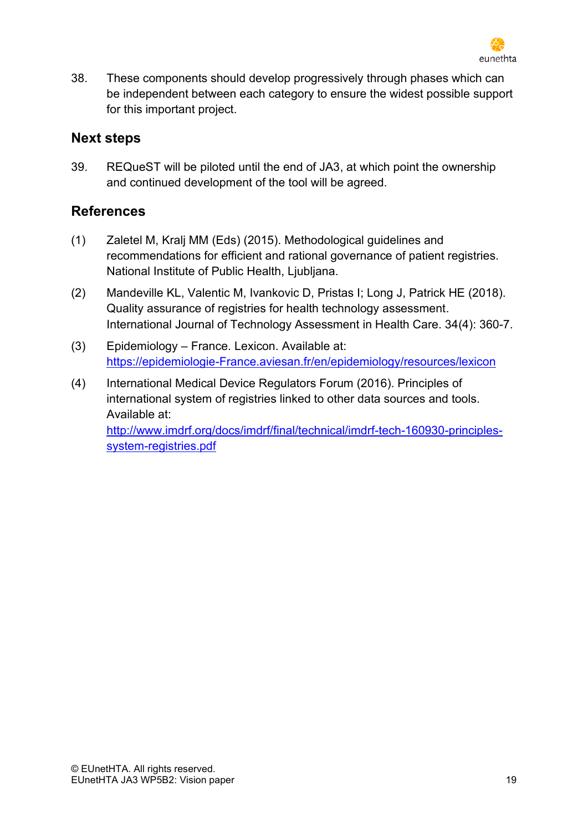

38. These components should develop progressively through phases which can be independent between each category to ensure the widest possible support for this important project.

# <span id="page-18-0"></span>**Next steps**

39. REQueST will be piloted until the end of JA3, at which point the ownership and continued development of the tool will be agreed.

# <span id="page-18-1"></span>**References**

- (1) Zaletel M, Kralj MM (Eds) (2015). Methodological guidelines and recommendations for efficient and rational governance of patient registries. National Institute of Public Health, Ljubljana.
- (2) Mandeville KL, Valentic M, Ivankovic D, Pristas I; Long J, Patrick HE (2018). Quality assurance of registries for health technology assessment. International Journal of Technology Assessment in Health Care. 34(4): 360-7.
- (3) Epidemiology France. Lexicon. Available at: [https://epidemiologie-France.aviesan.fr/en/epidemiology/resources/lexicon](https://epidemiologie-france.aviesan.fr/en/epidemiology/resources/lexicon)
- (4) International Medical Device Regulators Forum (2016). Principles of international system of registries linked to other data sources and tools. Available at: [http://www.imdrf.org/docs/imdrf/final/technical/imdrf-tech-160930-principles](http://www.imdrf.org/docs/imdrf/final/technical/imdrf-tech-160930-principles-system-registries.pdf)[system-registries.pdf](http://www.imdrf.org/docs/imdrf/final/technical/imdrf-tech-160930-principles-system-registries.pdf)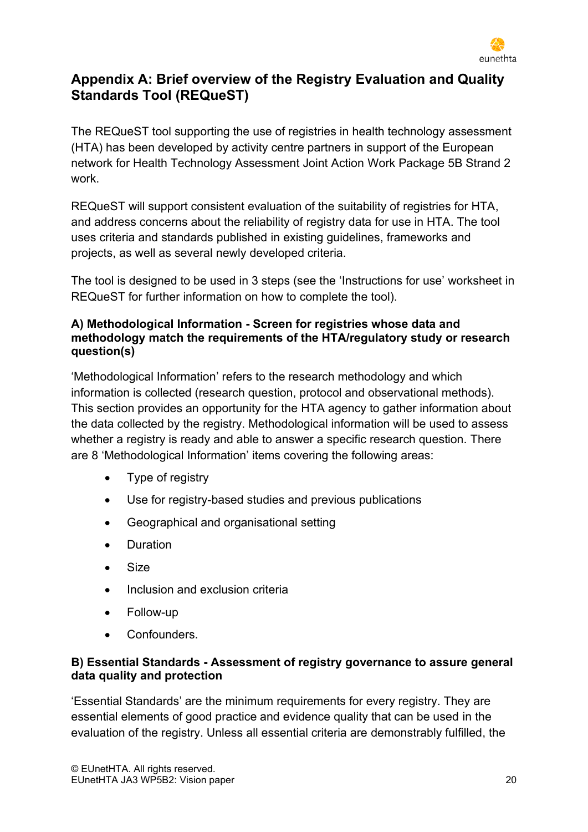

# <span id="page-19-1"></span><span id="page-19-0"></span>**Appendix A: Brief overview of the Registry Evaluation and Quality Standards Tool (REQueST)**

The REQueST tool supporting the use of registries in health technology assessment (HTA) has been developed by activity centre partners in support of the European network for Health Technology Assessment Joint Action Work Package 5B Strand 2 work.

REQueST will support consistent evaluation of the suitability of registries for HTA, and address concerns about the reliability of registry data for use in HTA. The tool uses criteria and standards published in existing guidelines, frameworks and projects, as well as several newly developed criteria.

The tool is designed to be used in 3 steps (see the 'Instructions for use' worksheet in REQueST for further information on how to complete the tool).

### **A) Methodological Information - Screen for registries whose data and methodology match the requirements of the HTA/regulatory study or research question(s)**

'Methodological Information' refers to the research methodology and which information is collected (research question, protocol and observational methods). This section provides an opportunity for the HTA agency to gather information about the data collected by the registry. Methodological information will be used to assess whether a registry is ready and able to answer a specific research question. There are 8 'Methodological Information' items covering the following areas:

- Type of registry
- Use for registry-based studies and previous publications
- Geographical and organisational setting
- Duration
- Size
- Inclusion and exclusion criteria
- Follow-up
- **Confounders**

### **B) Essential Standards - Assessment of registry governance to assure general data quality and protection**

'Essential Standards' are the minimum requirements for every registry. They are essential elements of good practice and evidence quality that can be used in the evaluation of the registry. Unless all essential criteria are demonstrably fulfilled, the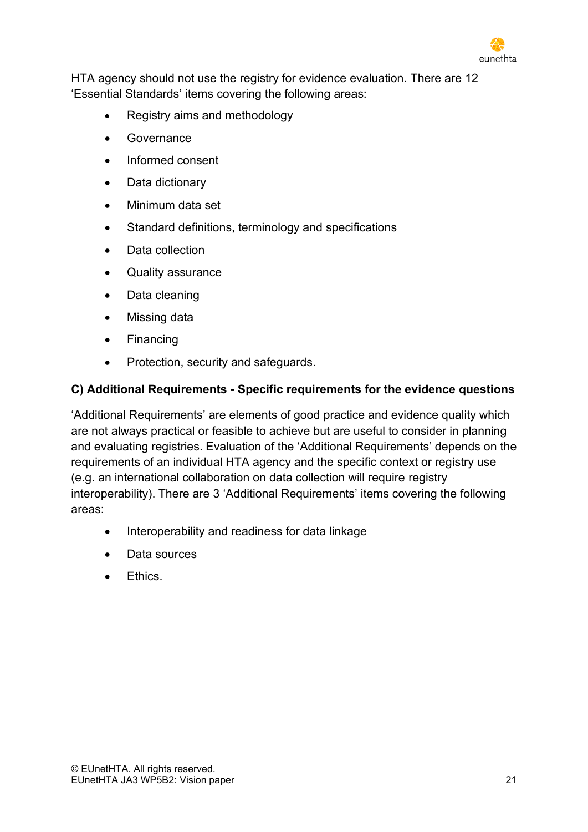

HTA agency should not use the registry for evidence evaluation. There are 12 'Essential Standards' items covering the following areas:

- Registry aims and methodology
- Governance
- Informed consent
- Data dictionary
- Minimum data set
- Standard definitions, terminology and specifications
- Data collection
- Quality assurance
- Data cleaning
- Missing data
- Financing
- Protection, security and safeguards.

### **C) Additional Requirements - Specific requirements for the evidence questions**

'Additional Requirements' are elements of good practice and evidence quality which are not always practical or feasible to achieve but are useful to consider in planning and evaluating registries. Evaluation of the 'Additional Requirements' depends on the requirements of an individual HTA agency and the specific context or registry use (e.g. an international collaboration on data collection will require registry interoperability). There are 3 'Additional Requirements' items covering the following areas:

- Interoperability and readiness for data linkage
- Data sources
- Ethics.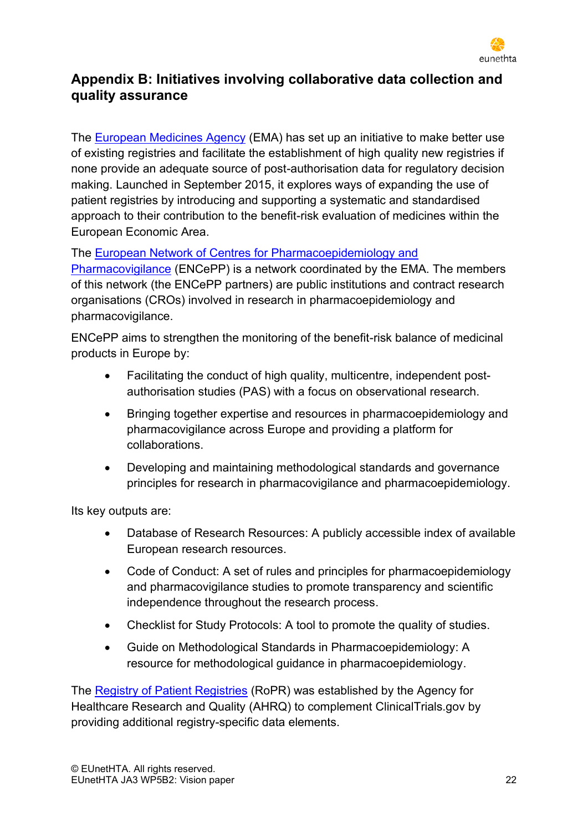

# <span id="page-21-0"></span>**Appendix B: Initiatives involving collaborative data collection and quality assurance**

The [European Medicines Agency](https://www.ema.europa.eu/en/human-regulatory/post-authorisation/patient-registries) (EMA) has set up an initiative to make better use of existing registries and facilitate the establishment of high quality new registries if none provide an adequate source of post-authorisation data for regulatory decision making. Launched in September 2015, it explores ways of expanding the use of patient registries by introducing and supporting a systematic and standardised approach to their contribution to the benefit-risk evaluation of medicines within the European Economic Area.

The [European Network of Centres for Pharmacoepidemiology and](http://www.encepp.eu/structure/index.shtml) 

[Pharmacovigilance](http://www.encepp.eu/structure/index.shtml) (ENCePP) is a network coordinated by the [EMA.](http://www.ema.europa.eu/ema/) The members of this network (the ENCePP partners) are public institutions and contract research organisations (CROs) involved in research in pharmacoepidemiology and pharmacovigilance.

ENCePP aims to strengthen the monitoring of the benefit-risk balance of medicinal products in Europe by:

- Facilitating the conduct of high quality, multicentre, independent postauthorisation studies (PAS) with a focus on observational research.
- Bringing together expertise and resources in pharmacoepidemiology and pharmacovigilance across Europe and providing a platform for collaborations.
- Developing and maintaining methodological standards and governance principles for research in pharmacovigilance and pharmacoepidemiology.

Its key outputs are:

- [Database of Research Resources:](http://www.encepp.eu/encepp/resourcesDatabase.jsp) A publicly accessible index of available European research resources.
- [Code of Conduct:](http://www.encepp.eu/code_of_conduct/index.shtml) A set of rules and principles for pharmacoepidemiology and pharmacovigilance studies to promote transparency and scientific independence throughout the research process.
- [Checklist for Study Protocols:](http://www.encepp.eu/standards_and_guidances/checkListProtocols.shtml) A tool to promote the quality of studies.
- [Guide on Methodological Standards in Pharmacoepidemiology:](http://www.encepp.eu/standards_and_guidances/methodologicalGuide.shtml) A resource for methodological guidance in pharmacoepidemiology.

The Registry [of Patient Registries](https://patientregistry.ahrq.gov/about/) (RoPR) was established by the Agency for Healthcare Research and Quality (AHRQ) to complement ClinicalTrials.gov by providing additional registry-specific data elements.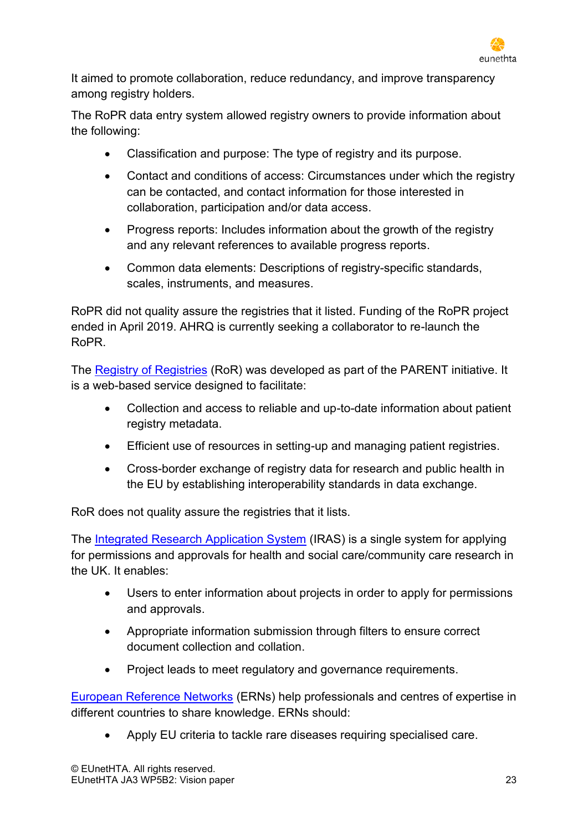

It aimed to promote collaboration, reduce redundancy, and improve transparency among registry holders.

The RoPR data entry system allowed registry owners to provide information about the following:

- Classification and purpose: The type of registry and its purpose.
- Contact and conditions of access: Circumstances under which the registry can be contacted, and contact information for those interested in collaboration, participation and/or data access.
- Progress reports: Includes information about the growth of the registry and any relevant references to available progress reports.
- Common data elements: Descriptions of registry-specific standards, scales, instruments, and measures.

RoPR did not quality assure the registries that it listed. Funding of the RoPR project ended in April 2019. AHRQ is currently seeking a collaborator to re-launch the RoPR.

The Registry [of Registries](http://parent-ror.eu/#/registries) (RoR) was developed as part of the PARENT initiative. It is a web-based service designed to facilitate:

- Collection and access to reliable and up-to-date information about patient registry metadata.
- Efficient use of resources in setting-up and managing patient registries.
- Cross-border exchange of registry data for research and public health in the EU by establishing interoperability standards in data exchange.

RoR does not quality assure the registries that it lists.

The [Integrated Research Application System](https://www.myresearchproject.org.uk/) (IRAS) is a single system for applying for permissions and approvals for health and social care/community care research in the UK. It enables:

- Users to enter information about projects in order to apply for permissions and approvals.
- Appropriate information submission through filters to ensure correct document collection and collation.
- Project leads to meet regulatory and governance requirements.

[European Reference Networks](https://ec.europa.eu/health/ern_en) (ERNs) help professionals and centres of expertise in different countries to share knowledge. ERNs should:

• Apply EU criteria to tackle rare diseases requiring specialised care.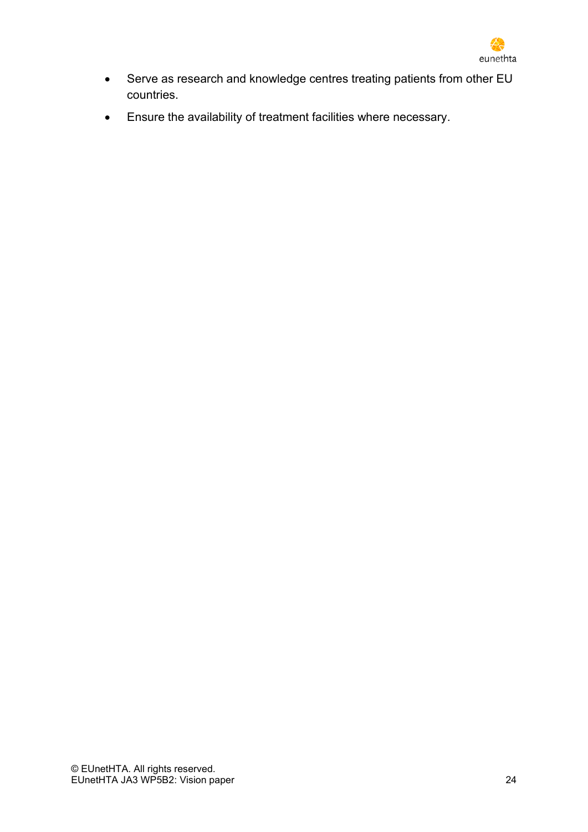

- Serve as research and knowledge centres treating patients from other EU countries.
- Ensure the availability of treatment facilities where necessary.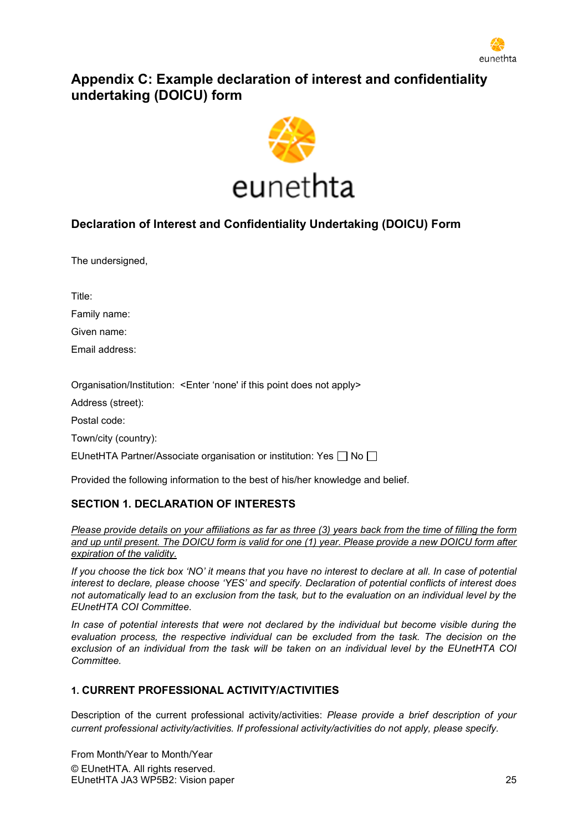

# <span id="page-24-0"></span>**Appendix C: Example declaration of interest and confidentiality undertaking (DOICU) form**



### **Declaration of Interest and Confidentiality Undertaking (DOICU) Form**

The undersigned,

Title:

Family name:

Given name:

Email address:

Organisation/Institution: <Enter 'none' if this point does not apply>

Address (street):

Postal code:

Town/city (country):

EUnetHTA Partner/Associate organisation or institution: Yes  $\Box$  No  $\Box$ 

Provided the following information to the best of his/her knowledge and belief.

#### **SECTION 1. DECLARATION OF INTERESTS**

*Please provide details on your affiliations as far as three (3) years back from the time of filling the form and up until present. The DOICU form is valid for one (1) year. Please provide a new DOICU form after expiration of the validity.*

*If you choose the tick box 'NO' it means that you have no interest to declare at all. In case of potential interest to declare, please choose 'YES' and specify. Declaration of potential conflicts of interest does not automatically lead to an exclusion from the task, but to the evaluation on an individual level by the EUnetHTA COI Committee.*

*In case of potential interests that were not declared by the individual but become visible during the evaluation process, the respective individual can be excluded from the task. The decision on the exclusion of an individual from the task will be taken on an individual level by the EUnetHTA COI Committee.*

#### **1. CURRENT PROFESSIONAL ACTIVITY/ACTIVITIES**

Description of the current professional activity/activities: *Please provide a brief description of your current professional activity/activities. If professional activity/activities do not apply, please specify.*

© EUnetHTA. All rights reserved. EUnetHTA JA3 WP5B2: Vision paper 25 From Month/Year to Month/Year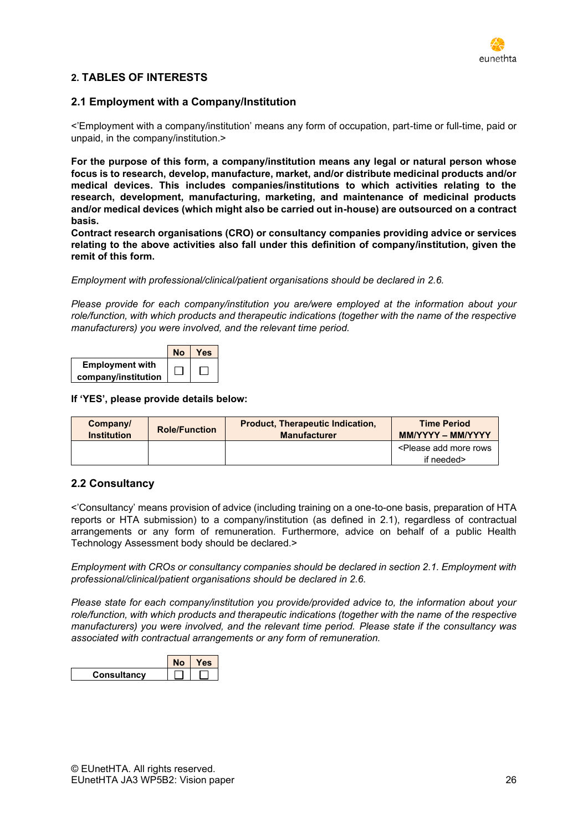

#### **2. TABLES OF INTERESTS**

#### **2.1 Employment with a Company/Institution**

<'Employment with a company/institution' means any form of occupation, part-time or full-time, paid or unpaid, in the company/institution.>

**For the purpose of this form, a company/institution means any legal or natural person whose focus is to research, develop, manufacture, market, and/or distribute medicinal products and/or medical devices. This includes companies/institutions to which activities relating to the research, development, manufacturing, marketing, and maintenance of medicinal products and/or medical devices (which might also be carried out in-house) are outsourced on a contract basis.**

**Contract research organisations (CRO) or consultancy companies providing advice or services relating to the above activities also fall under this definition of company/institution, given the remit of this form.**

*Employment with professional/clinical/patient organisations should be declared in 2.6.*

*Please provide for each company/institution you are/were employed at the information about your role/function, with which products and therapeutic indications (together with the name of the respective manufacturers) you were involved, and the relevant time period.*



**If 'YES', please provide details below:**

| Company/<br><b>Institution</b> | <b>Role/Function</b> | <b>Product, Therapeutic Indication,</b><br><b>Manufacturer</b> | <b>Time Period</b><br><b>MM/YYYY - MM/YYYY</b>  |
|--------------------------------|----------------------|----------------------------------------------------------------|-------------------------------------------------|
|                                |                      |                                                                | <please add="" more="" rows<="" th=""></please> |
|                                |                      |                                                                | if needed>                                      |

#### **2.2 Consultancy**

<'Consultancy' means provision of advice (including training on a one-to-one basis, preparation of HTA reports or HTA submission) to a company/institution (as defined in 2.1), regardless of contractual arrangements or any form of remuneration. Furthermore, advice on behalf of a public Health Technology Assessment body should be declared.>

*Employment with CROs or consultancy companies should be declared in section 2.1. Employment with professional/clinical/patient organisations should be declared in 2.6.*

*Please state for each company/institution you provide/provided advice to, the information about your role/function, with which products and therapeutic indications (together with the name of the respective manufacturers) you were involved, and the relevant time period. Please state if the consultancy was associated with contractual arrangements or any form of remuneration.*

|                    | es |
|--------------------|----|
| <b>Consultancy</b> |    |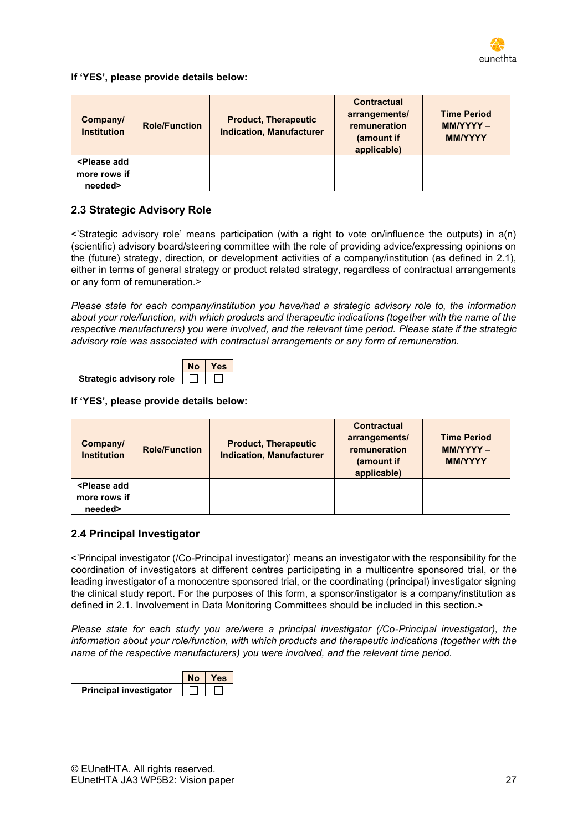

**If 'YES', please provide details below:**

| Company/<br><b>Institution</b>                         | <b>Role/Function</b> | <b>Product, Therapeutic</b><br><b>Indication, Manufacturer</b> | <b>Contractual</b><br>arrangements/<br>remuneration<br>(amount if<br>applicable) | <b>Time Period</b><br>MM/YYYY-<br><b>MM/YYYY</b> |
|--------------------------------------------------------|----------------------|----------------------------------------------------------------|----------------------------------------------------------------------------------|--------------------------------------------------|
| <please add<br="">more rows if<br/>needed&gt;</please> |                      |                                                                |                                                                                  |                                                  |

### **2.3 Strategic Advisory Role**

<'Strategic advisory role' means participation (with a right to vote on/influence the outputs) in a(n) (scientific) advisory board/steering committee with the role of providing advice/expressing opinions on the (future) strategy, direction, or development activities of a company/institution (as defined in 2.1), either in terms of general strategy or product related strategy, regardless of contractual arrangements or any form of remuneration.>

*Please state for each company/institution you have/had a strategic advisory role to, the information about your role/function, with which products and therapeutic indications (together with the name of the respective manufacturers) you were involved, and the relevant time period. Please state if the strategic advisory role was associated with contractual arrangements or any form of remuneration.*

|                                | NΩ | Yes |
|--------------------------------|----|-----|
| <b>Strategic advisory role</b> |    |     |

#### **If 'YES', please provide details below:**

| Company/<br><b>Institution</b>                         | <b>Role/Function</b> | <b>Product, Therapeutic</b><br><b>Indication, Manufacturer</b> | Contractual<br>arrangements/<br>remuneration<br>(amount if<br>applicable) | <b>Time Period</b><br><b>MM/YYYY -</b><br><b>MM/YYYY</b> |
|--------------------------------------------------------|----------------------|----------------------------------------------------------------|---------------------------------------------------------------------------|----------------------------------------------------------|
| <please add<br="">more rows if<br/>needed&gt;</please> |                      |                                                                |                                                                           |                                                          |

#### **2.4 Principal Investigator**

<'Principal investigator (/Co-Principal investigator)' means an investigator with the responsibility for the coordination of investigators at different centres participating in a multicentre sponsored trial, or the leading investigator of a monocentre sponsored trial, or the coordinating (principal) investigator signing the clinical study report. For the purposes of this form, a sponsor/instigator is a company/institution as defined in 2.1. Involvement in Data Monitoring Committees should be included in this section.>

*Please state for each study you are/were a principal investigator (/Co-Principal investigator), the information about your role/function, with which products and therapeutic indications (together with the name of the respective manufacturers) you were involved, and the relevant time period.*

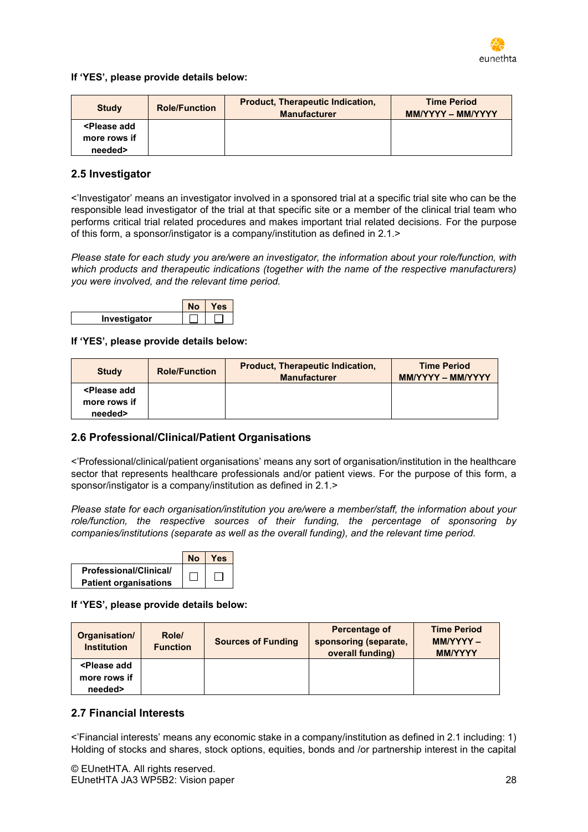

**If 'YES', please provide details below:**

| <b>Study</b>                                               | <b>Role/Function</b> | Product, Therapeutic Indication,<br><b>Manufacturer</b> | <b>Time Period</b><br><b>MM/YYYY - MM/YYYY</b> |
|------------------------------------------------------------|----------------------|---------------------------------------------------------|------------------------------------------------|
| <please add<="" td=""><td></td><td></td><td></td></please> |                      |                                                         |                                                |
| more rows if                                               |                      |                                                         |                                                |
| needed>                                                    |                      |                                                         |                                                |

#### **2.5 Investigator**

<'Investigator' means an investigator involved in a sponsored trial at a specific trial site who can be the responsible lead investigator of the trial at that specific site or a member of the clinical trial team who performs critical trial related procedures and makes important trial related decisions. For the purpose of this form, a sponsor/instigator is a company/institution as defined in 2.1.>

*Please state for each study you are/were an investigator, the information about your role/function, with which products and therapeutic indications (together with the name of the respective manufacturers) you were involved, and the relevant time period.*



#### **If 'YES', please provide details below:**

| <b>Study</b>                                               | <b>Role/Function</b> | <b>Product, Therapeutic Indication,</b><br><b>Manufacturer</b> | <b>Time Period</b><br><b>MM/YYYY - MM/YYYY</b> |
|------------------------------------------------------------|----------------------|----------------------------------------------------------------|------------------------------------------------|
| <please add<="" td=""><td></td><td></td><td></td></please> |                      |                                                                |                                                |
| more rows if                                               |                      |                                                                |                                                |
| needed>                                                    |                      |                                                                |                                                |

#### **2.6 Professional/Clinical/Patient Organisations**

<'Professional/clinical/patient organisations' means any sort of organisation/institution in the healthcare sector that represents healthcare professionals and/or patient views. For the purpose of this form, a sponsor/instigator is a company/institution as defined in 2.1.>

*Please state for each organisation/institution you are/were a member/staff, the information about your role/function, the respective sources of their funding, the percentage of sponsoring by companies/institutions (separate as well as the overall funding), and the relevant time period.*



**If 'YES', please provide details below:**

| Organisation/<br><b>Institution</b>                    | Role/<br><b>Function</b> | <b>Sources of Funding</b> | Percentage of<br>sponsoring (separate,<br>overall funding) | <b>Time Period</b><br>$MMYYYY -$<br><b>MM/YYYY</b> |
|--------------------------------------------------------|--------------------------|---------------------------|------------------------------------------------------------|----------------------------------------------------|
| <please add<br="">more rows if<br/>needed&gt;</please> |                          |                           |                                                            |                                                    |

#### **2.7 Financial Interests**

<'Financial interests' means any economic stake in a company/institution as defined in 2.1 including: 1) Holding of stocks and shares, stock options, equities, bonds and /or partnership interest in the capital

© EUnetHTA. All rights reserved. EUnetHTA JA3 WP5B2: Vision paper 28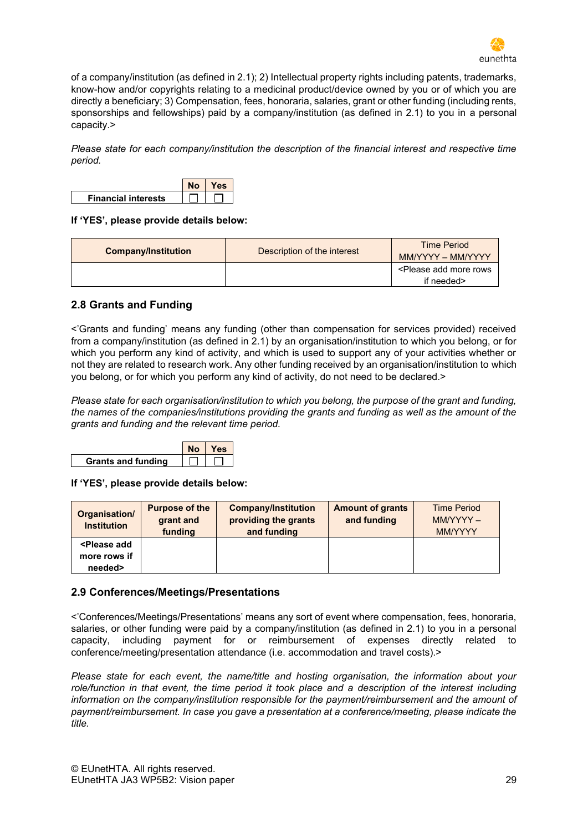

of a company/institution (as defined in 2.1); 2) Intellectual property rights including patents, trademarks, know-how and/or copyrights relating to a medicinal product/device owned by you or of which you are directly a beneficiary; 3) Compensation, fees, honoraria, salaries, grant or other funding (including rents, sponsorships and fellowships) paid by a company/institution (as defined in 2.1) to you in a personal capacity.>

*Please state for each company/institution the description of the financial interest and respective time period.*



#### **If 'YES', please provide details below:**

| <b>Company/Institution</b> | Description of the interest | <b>Time Period</b><br>MM/YYYY - MM/YYYY                  |
|----------------------------|-----------------------------|----------------------------------------------------------|
|                            |                             | <please add="" more="" rows<br="">if needed&gt;</please> |

#### **2.8 Grants and Funding**

<'Grants and funding' means any funding (other than compensation for services provided) received from a company/institution (as defined in 2.1) by an organisation/institution to which you belong, or for which you perform any kind of activity, and which is used to support any of your activities whether or not they are related to research work. Any other funding received by an organisation/institution to which you belong, or for which you perform any kind of activity, do not need to be declared.>

*Please state for each organisation/institution to which you belong, the purpose of the grant and funding, the names of the companies/institutions providing the grants and funding as well as the amount of the grants and funding and the relevant time period.*



**If 'YES', please provide details below:**

| Organisation/<br><b>Institution</b>                    | <b>Purpose of the</b><br>grant and<br>funding | <b>Company/Institution</b><br>providing the grants<br>and funding | <b>Amount of grants</b><br>and funding | <b>Time Period</b><br>$MMYYYY -$<br><b>MM/YYYY</b> |
|--------------------------------------------------------|-----------------------------------------------|-------------------------------------------------------------------|----------------------------------------|----------------------------------------------------|
| <please add<br="">more rows if<br/>needed&gt;</please> |                                               |                                                                   |                                        |                                                    |

#### **2.9 Conferences/Meetings/Presentations**

<'Conferences/Meetings/Presentations' means any sort of event where compensation, fees, honoraria, salaries, or other funding were paid by a company/institution (as defined in 2.1) to you in a personal capacity, including payment for or reimbursement of expenses directly related to conference/meeting/presentation attendance (i.e. accommodation and travel costs).>

*Please state for each event, the name/title and hosting organisation, the information about your role/function in that event, the time period it took place and a description of the interest including information on the company/institution responsible for the payment/reimbursement and the amount of payment/reimbursement. In case you gave a presentation at a conference/meeting, please indicate the title.*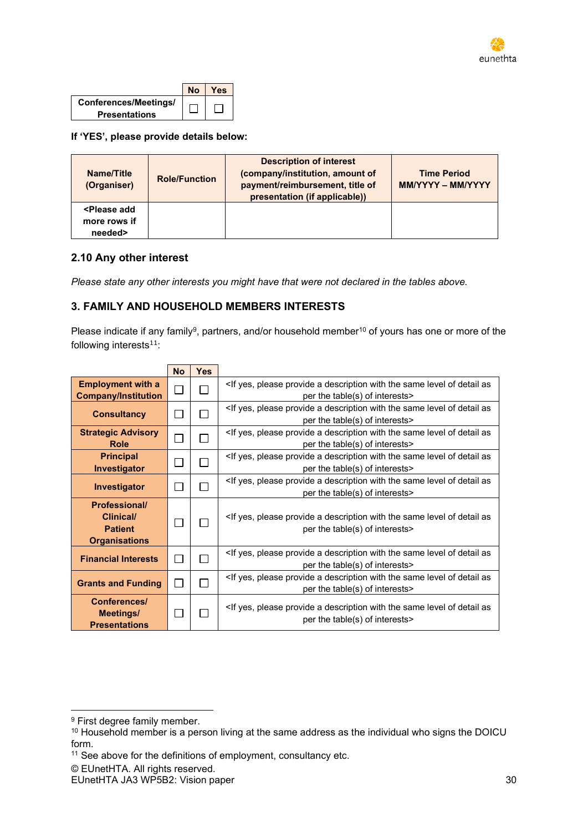

|                       | 'es |
|-----------------------|-----|
| Conferences/Meetings/ |     |
| <b>Presentations</b>  |     |

**If 'YES', please provide details below:**

| Name/Title<br>(Organiser)                              | <b>Role/Function</b> | <b>Description of interest</b><br>(company/institution, amount of<br>payment/reimbursement, title of<br>presentation (if applicable)) | <b>Time Period</b><br><b>MM/YYYY - MM/YYYY</b> |
|--------------------------------------------------------|----------------------|---------------------------------------------------------------------------------------------------------------------------------------|------------------------------------------------|
| <please add<br="">more rows if<br/>needed&gt;</please> |                      |                                                                                                                                       |                                                |

#### **2.10 Any other interest**

*Please state any other interests you might have that were not declared in the tables above.*

#### **3. FAMILY AND HOUSEHOLD MEMBERS INTERESTS**

Please indicate if any family<sup>9</sup>, partners, and/or household member<sup>10</sup> of yours has one or more of the following interests $11$ :

|                                                                             | <b>No</b>      | <b>Yes</b> |                                                                                                                                                      |
|-----------------------------------------------------------------------------|----------------|------------|------------------------------------------------------------------------------------------------------------------------------------------------------|
| <b>Employment with a</b><br><b>Company/Institution</b>                      | П              |            | <if a="" as<br="" description="" detail="" level="" of="" please="" provide="" same="" the="" with="" yes,="">per the table(s) of interests&gt;</if> |
| <b>Consultancy</b>                                                          | $\mathbb{R}^n$ |            | <if a="" as<br="" description="" detail="" level="" of="" please="" provide="" same="" the="" with="" yes,="">per the table(s) of interests&gt;</if> |
| <b>Strategic Advisory</b><br><b>Role</b>                                    |                |            | <if a="" as<br="" description="" detail="" level="" of="" please="" provide="" same="" the="" with="" yes,="">per the table(s) of interests&gt;</if> |
| <b>Principal</b><br><b>Investigator</b>                                     |                |            | <if a="" as<br="" description="" detail="" level="" of="" please="" provide="" same="" the="" with="" yes,="">per the table(s) of interests&gt;</if> |
| Investigator                                                                |                |            | <if a="" as<br="" description="" detail="" level="" of="" please="" provide="" same="" the="" with="" yes,="">per the table(s) of interests&gt;</if> |
| <b>Professional/</b><br>Clinical/<br><b>Patient</b><br><b>Organisations</b> |                |            | <if a="" as<br="" description="" detail="" level="" of="" please="" provide="" same="" the="" with="" yes,="">per the table(s) of interests&gt;</if> |
| <b>Financial Interests</b>                                                  | П              |            | <if a="" as<br="" description="" detail="" level="" of="" please="" provide="" same="" the="" with="" yes,="">per the table(s) of interests&gt;</if> |
| <b>Grants and Funding</b>                                                   | $\mathbf{I}$   |            | <if a="" as<br="" description="" detail="" level="" of="" please="" provide="" same="" the="" with="" yes,="">per the table(s) of interests&gt;</if> |
| Conferences/<br>Meetings/<br><b>Presentations</b>                           |                |            | <if a="" as<br="" description="" detail="" level="" of="" please="" provide="" same="" the="" with="" yes,="">per the table(s) of interests&gt;</if> |

<sup>9</sup> First degree family member.

<sup>&</sup>lt;sup>10</sup> Household member is a person living at the same address as the individual who signs the DOICU form.

<sup>&</sup>lt;sup>11</sup> See above for the definitions of employment, consultancy etc.

<sup>©</sup> EUnetHTA. All rights reserved.

EUnetHTA JA3 WP5B2: Vision paper 30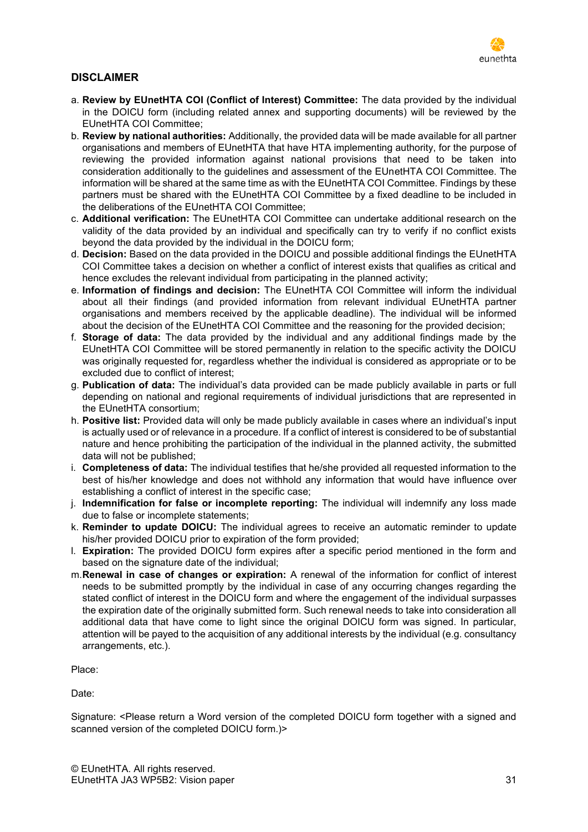

#### **DISCLAIMER**

- a. **Review by EUnetHTA COI (Conflict of Interest) Committee:** The data provided by the individual in the DOICU form (including related annex and supporting documents) will be reviewed by the EUnetHTA COI Committee;
- b. **Review by national authorities:** Additionally, the provided data will be made available for all partner organisations and members of EUnetHTA that have HTA implementing authority, for the purpose of reviewing the provided information against national provisions that need to be taken into consideration additionally to the guidelines and assessment of the EUnetHTA COI Committee. The information will be shared at the same time as with the EUnetHTA COI Committee. Findings by these partners must be shared with the EUnetHTA COI Committee by a fixed deadline to be included in the deliberations of the EUnetHTA COI Committee;
- c. **Additional verification:** The EUnetHTA COI Committee can undertake additional research on the validity of the data provided by an individual and specifically can try to verify if no conflict exists beyond the data provided by the individual in the DOICU form;
- d. **Decision:** Based on the data provided in the DOICU and possible additional findings the EUnetHTA COI Committee takes a decision on whether a conflict of interest exists that qualifies as critical and hence excludes the relevant individual from participating in the planned activity;
- e. **Information of findings and decision:** The EUnetHTA COI Committee will inform the individual about all their findings (and provided information from relevant individual EUnetHTA partner organisations and members received by the applicable deadline). The individual will be informed about the decision of the EUnetHTA COI Committee and the reasoning for the provided decision;
- f. **Storage of data:** The data provided by the individual and any additional findings made by the EUnetHTA COI Committee will be stored permanently in relation to the specific activity the DOICU was originally requested for, regardless whether the individual is considered as appropriate or to be excluded due to conflict of interest;
- g. **Publication of data:** The individual's data provided can be made publicly available in parts or full depending on national and regional requirements of individual jurisdictions that are represented in the EUnetHTA consortium;
- h. **Positive list:** Provided data will only be made publicly available in cases where an individual's input is actually used or of relevance in a procedure. If a conflict of interest is considered to be of substantial nature and hence prohibiting the participation of the individual in the planned activity, the submitted data will not be published;
- i. **Completeness of data:** The individual testifies that he/she provided all requested information to the best of his/her knowledge and does not withhold any information that would have influence over establishing a conflict of interest in the specific case;
- j. **Indemnification for false or incomplete reporting:** The individual will indemnify any loss made due to false or incomplete statements;
- k. **Reminder to update DOICU:** The individual agrees to receive an automatic reminder to update his/her provided DOICU prior to expiration of the form provided;
- l. **Expiration:** The provided DOICU form expires after a specific period mentioned in the form and based on the signature date of the individual;
- m.**Renewal in case of changes or expiration:** A renewal of the information for conflict of interest needs to be submitted promptly by the individual in case of any occurring changes regarding the stated conflict of interest in the DOICU form and where the engagement of the individual surpasses the expiration date of the originally submitted form. Such renewal needs to take into consideration all additional data that have come to light since the original DOICU form was signed. In particular, attention will be payed to the acquisition of any additional interests by the individual (e.g. consultancy arrangements, etc.).

Place:

Date:

Signature: <Please return a Word version of the completed DOICU form together with a signed and scanned version of the completed DOICU form.)>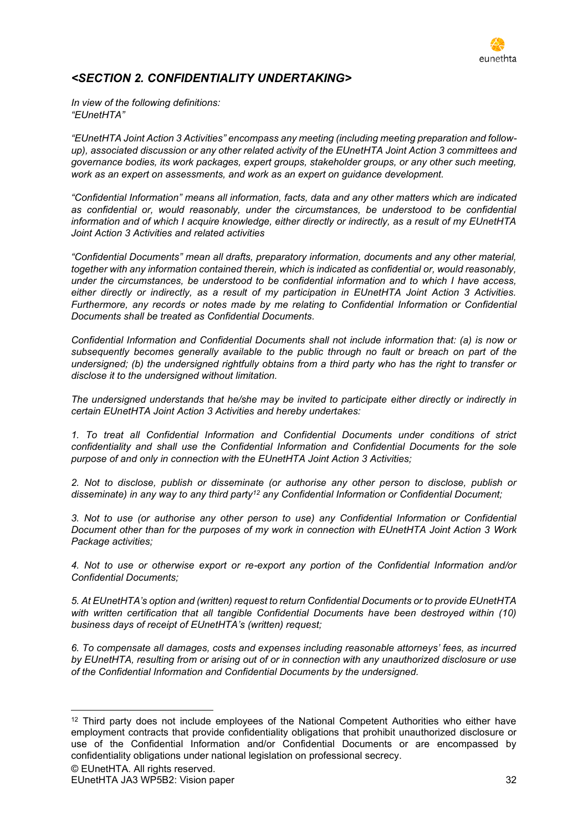

### *<SECTION 2. CONFIDENTIALITY UNDERTAKING>*

*In view of the following definitions: "EUnetHTA"*

*"EUnetHTA Joint Action 3 Activities" encompass any meeting (including meeting preparation and followup), associated discussion or any other related activity of the EUnetHTA Joint Action 3 committees and governance bodies, its work packages, expert groups, stakeholder groups, or any other such meeting, work as an expert on assessments, and work as an expert on guidance development.*

*"Confidential Information" means all information, facts, data and any other matters which are indicated as confidential or, would reasonably, under the circumstances, be understood to be confidential information and of which I acquire knowledge, either directly or indirectly, as a result of my EUnetHTA Joint Action 3 Activities and related activities*

*"Confidential Documents" mean all drafts, preparatory information, documents and any other material, together with any information contained therein, which is indicated as confidential or, would reasonably, under the circumstances, be understood to be confidential information and to which I have access, either directly or indirectly, as a result of my participation in EUnetHTA Joint Action 3 Activities. Furthermore, any records or notes made by me relating to Confidential Information or Confidential Documents shall be treated as Confidential Documents.*

*Confidential Information and Confidential Documents shall not include information that: (a) is now or subsequently becomes generally available to the public through no fault or breach on part of the undersigned; (b) the undersigned rightfully obtains from a third party who has the right to transfer or disclose it to the undersigned without limitation.*

*The undersigned understands that he/she may be invited to participate either directly or indirectly in certain EUnetHTA Joint Action 3 Activities and hereby undertakes:*

*1. To treat all Confidential Information and Confidential Documents under conditions of strict confidentiality and shall use the Confidential Information and Confidential Documents for the sole purpose of and only in connection with the EUnetHTA Joint Action 3 Activities;*

*2. Not to disclose, publish or disseminate (or authorise any other person to disclose, publish or disseminate) in any way to any third party<sup>12</sup> any Confidential Information or Confidential Document;*

*3. Not to use (or authorise any other person to use) any Confidential Information or Confidential Document other than for the purposes of my work in connection with EUnetHTA Joint Action 3 Work Package activities;*

*4. Not to use or otherwise export or re-export any portion of the Confidential Information and/or Confidential Documents;*

*5. At EUnetHTA's option and (written) request to return Confidential Documents or to provide EUnetHTA*  with written certification that all tangible Confidential Documents have been destroyed within (10) *business days of receipt of EUnetHTA's (written) request;*

*6. To compensate all damages, costs and expenses including reasonable attorneys' fees, as incurred by EUnetHTA, resulting from or arising out of or in connection with any unauthorized disclosure or use of the Confidential Information and Confidential Documents by the undersigned.*

<sup>&</sup>lt;sup>12</sup> Third party does not include employees of the National Competent Authorities who either have employment contracts that provide confidentiality obligations that prohibit unauthorized disclosure or use of the Confidential Information and/or Confidential Documents or are encompassed by confidentiality obligations under national legislation on professional secrecy.

<sup>©</sup> EUnetHTA. All rights reserved.

EUnetHTA JA3 WP5B2: Vision paper 32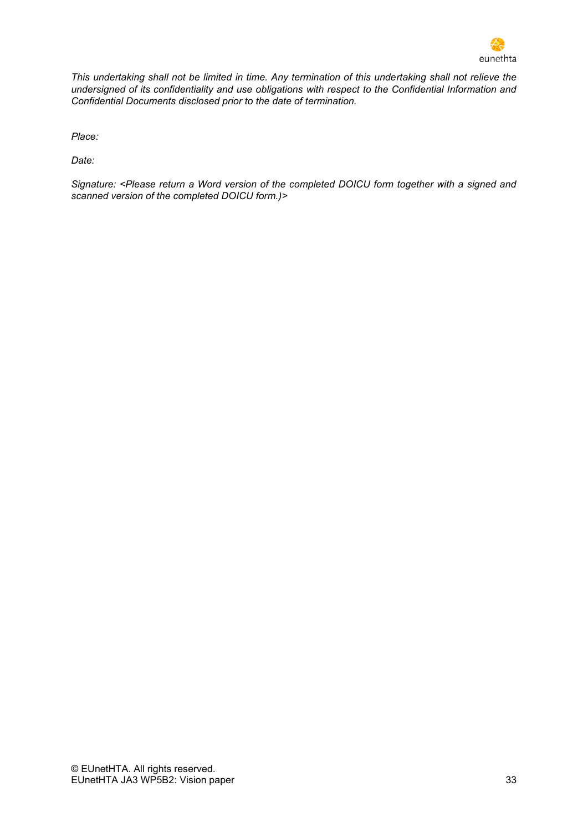

*This undertaking shall not be limited in time. Any termination of this undertaking shall not relieve the undersigned of its confidentiality and use obligations with respect to the Confidential Information and Confidential Documents disclosed prior to the date of termination.*

*Place:* 

*Date:*

*Signature: <Please return a Word version of the completed DOICU form together with a signed and scanned version of the completed DOICU form.)>*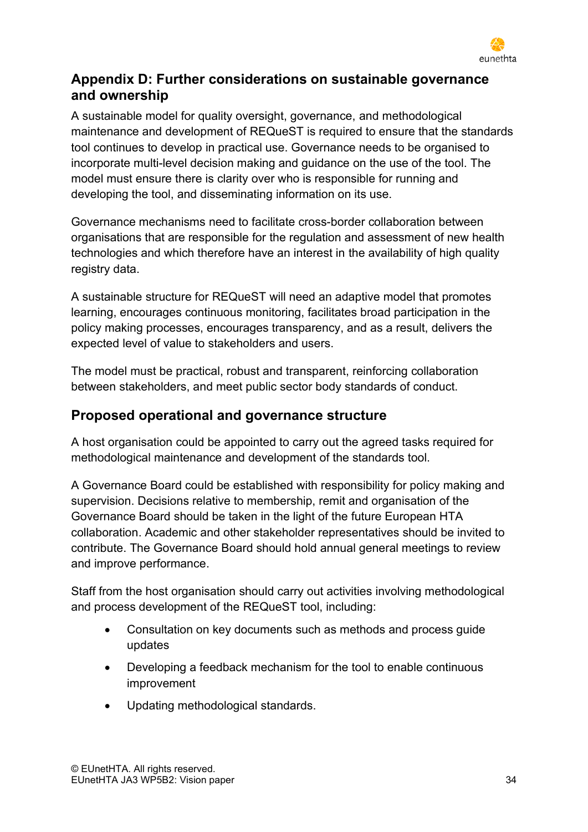

# <span id="page-33-0"></span>**Appendix D: Further considerations on sustainable governance and ownership**

A sustainable model for quality oversight, governance, and methodological maintenance and development of REQueST is required to ensure that the standards tool continues to develop in practical use. Governance needs to be organised to incorporate multi-level decision making and guidance on the use of the tool. The model must ensure there is clarity over who is responsible for running and developing the tool, and disseminating information on its use.

Governance mechanisms need to facilitate cross-border collaboration between organisations that are responsible for the regulation and assessment of new health technologies and which therefore have an interest in the availability of high quality registry data.

A sustainable structure for REQueST will need an adaptive model that promotes learning, encourages continuous monitoring, facilitates broad participation in the policy making processes, encourages transparency, and as a result, delivers the expected level of value to stakeholders and users.

The model must be practical, robust and transparent, reinforcing collaboration between stakeholders, and meet public sector body standards of conduct.

# **Proposed operational and governance structure**

A host organisation could be appointed to carry out the agreed tasks required for methodological maintenance and development of the standards tool.

A Governance Board could be established with responsibility for policy making and supervision. Decisions relative to membership, remit and organisation of the Governance Board should be taken in the light of the future European HTA collaboration. Academic and other stakeholder representatives should be invited to contribute. The Governance Board should hold annual general meetings to review and improve performance.

Staff from the host organisation should carry out activities involving methodological and process development of the REQueST tool, including:

- Consultation on key documents such as methods and process guide updates
- Developing a feedback mechanism for the tool to enable continuous improvement
- Updating methodological standards.